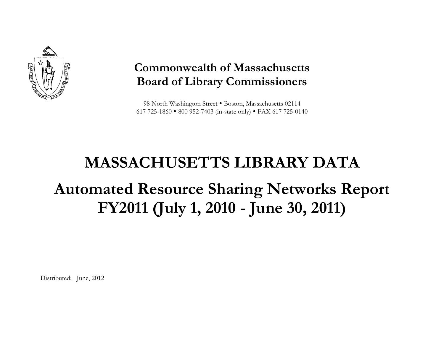

### **Commonwealth of Massachusetts Board of Library Commissioners**

98 North Washington Street . Boston, Massachusetts 02114 617 725-1860 800 952-7403 (in-state only) FAX 617 725-0140

# **MASSACHUSETTS LIBRARY DATAAutomated Resource Sharing Networks Report FY2011 (July 1, 2010 - June 30, 2011)**

Distributed: June, 2012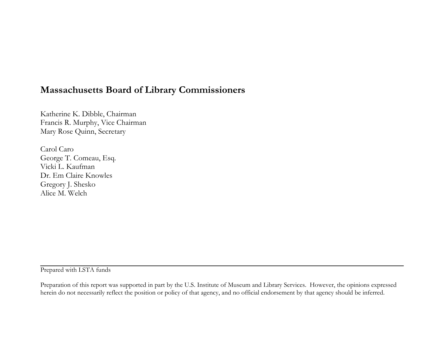#### **Massachusetts Board of Library Commissioners**

Katherine K. Dibble, Chairman Francis R. Murphy, Vice Chairman Mary Rose Quinn, Secretary

Carol Caro George T. Comeau, Esq. Vicki L. Kaufman Dr. Em Claire Knowles Gregory J. Shesko Alice M. Welch

Prepared with LSTA funds

Preparation of this report was supported in part by the U.S. Institute of Museum and Library Services. However, the opinions expressed herein do not necessarily reflect the position or policy of that agency, and no official endorsement by that agency should be inferred.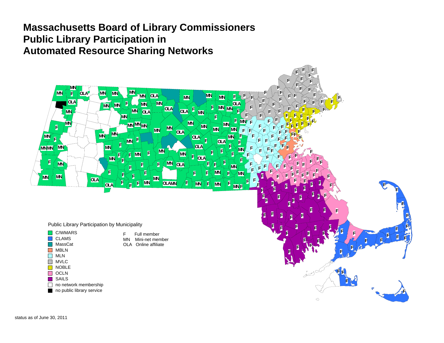#### **Massachusetts Board of Library Commissioners Public Library Participation in Automated Resource Sharing Networks**

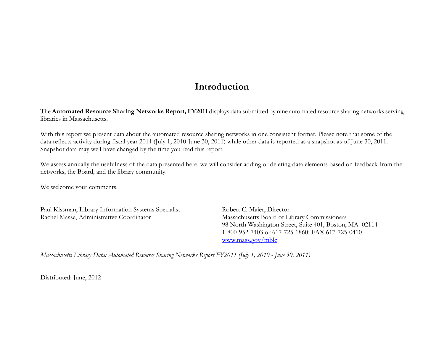#### **Introduction**

The **Automated Resource Sharing Networks Report, FY2011** displays data submitted by nine automated resource sharing networks serving libraries in Massachusetts.

With this report we present data about the automated resource sharing networks in one consistent format. Please note that some of the data reflects activity during fiscal year 2011 (July 1, 2010-June 30, 2011) while other data is reported as a snapshot as of June 30, 2011. Snapshot data may well have changed by the time you read this report.

We assess annually the usefulness of the data presented here, we will consider adding or deleting data elements based on feedback from the networks, the Board, and the library community.

We welcome your comments.

Paul Kissman, Library Information Systems Specialist Robert C. Maier, Director Rachel Masse, Administrative Coordinator Massachusetts Board of Library Commissioners

 98 North Washington Street, Suite 401, Boston, MA 02114 1-800-952-7403 or 617-725-1860; FAX 617-725-0410 www.mass.gov/mblc

*Massachusetts Library Data: Automated Resource Sharing Networks Report FY2011 (July 1, 2010 - June 30, 2011)* 

Distributed: June, 2012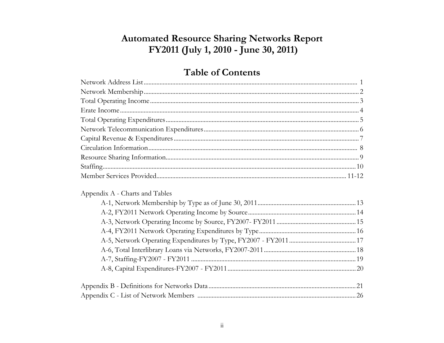#### **Automated Resource Sharing Networks Report** FY2011 (July 1, 2010 - June 30, 2011)

#### **Table of Contents**

| $Staffing. 10$                 |
|--------------------------------|
|                                |
| Appendix A - Charts and Tables |
|                                |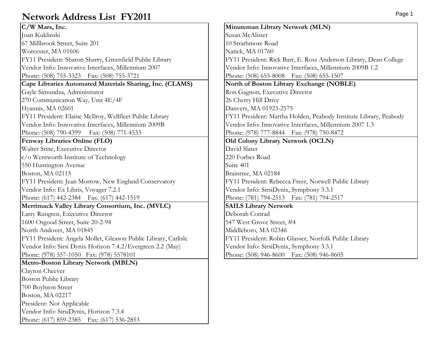#### **Network Address List FY2011**

| C/W Mars, Inc.                                                  | Minuter        |
|-----------------------------------------------------------------|----------------|
| Joan Kuklinski                                                  | Susan Mo       |
| 67 Millbrook Street, Suite 201                                  | 10 Strath      |
| Worcester, MA 01606                                             | Natick, N      |
| FY11 President: Sharon Sharry, Greenfield Public Library        | FY11 Pro       |
| Vendor Info: Innovative Interfaces, Millennium 2007             | Vendor l       |
| Phone: (508) 755-3323 Fax: (508) 755-3721                       | Phone: (       |
| Cape Libraries Automated Materials Sharing, Inc. (CLAMS)        | North of       |
| Gayle Simundza, Administrator                                   | Ron Gag        |
| 270 Communication Way, Unit 4E/4F                               | 26 Cherr       |
| Hyannis, MA 02601                                               | Danvers,       |
| FY11 President: Elaine McIlroy, Wellfleet Public Library        | FY11 Pro       |
| Vendor Info: Innovative Interfaces, Millennium 2009B            | Vendor 1       |
| Phone: (508) 790-4399  Fax: (508) 771-4533                      | Phone: (9      |
| Fenway Libraries Online (FLO)                                   | Old Col        |
| Walter Stine, Executive Director                                | David Sl       |
| c/o Wentworth Institute of Technology                           | 220 Forb       |
| 550 Huntington Avenue                                           | Suite 401      |
| Boston, MA 02115                                                | Braintree      |
| FY11 President: Jean Morrow, New England Conservatory           | FY11 Pro       |
| Vendor Info: Ex Libris, Voyager 7.2.1                           | Vendor I       |
| Phone: (617) 442-2384 Fax: (617) 442-1519                       | Phone: (       |
| Merrimack Valley Library Consortium, Inc. (MVLC)                | <b>SAILS L</b> |
| Larry Rungren, Executive Director                               | Deborah        |
| 1600 Osgood Street, Suite 20-2-94                               | 547 Wes        |
| North Andover, MA 01845                                         | Middlebo       |
| FY11 President: Angela Mollet, Gleason Public Library, Carlisle | FY11 Pro       |
| Vendor Info: Sirsi Dynix Horizon 7.4.2/Evergreen 2.2 (May)      | Vendor I       |
| Phone: (978) 557-1050 Fax: (978) 5578101                        | Phone: (       |
| <b>Metro-Boston Library Network (MBLN)</b>                      |                |
| Clayton Cheever                                                 |                |
| Boston Public Library                                           |                |
| 700 Boylston Street                                             |                |
| Boston, MA 02217                                                |                |
| President: Not Applicable                                       |                |
| Vendor Info: SirsiDynix, Horizon 7.3.4                          |                |
| Phone: (617) 859-2385  Fax: (617) 536-2853                      |                |

**Minuteman Library Network (MLN)** Susan McAlister 10 Strathmore Road Natick, MA 01760 FY11 President: Rick Barr, E. Ross Anderson Library, Dean College Vendor Info: Innovative Interfaces, Millennium 2009B 1.2 Phone: (508) 655-8008 Fax: (508) 655-1507 **North of Boston Library Exchange (NOBLE)** Ron Gagnon, Executive Director 26 Cherry Hill Drive Danvers, MA 01923-2575 FY11 President: Martha Holden, Peabody Institute Library, Peabody Vendor Info: Innovative Interfaces, Millennium 2007 1.3 Phone: (978) 777-8844 Fax: (978) 750-8472 **Old Colony Library Network (OCLN)** David Slater 220 Forbes Road Braintree, MA 02184 FY11 President: Rebecca Freer, Norwell Public Library Vendor Info: SirsiDynix, Symphony 3.3.1 Phone: (781) 794-2513 Fax: (781) 794-2517 **SAILS Library Network** Deborah Conrad 547 West Grove Street, #4 Middleboro, MA 02346 FY11 President: Robin Glasser, Norfolk Public Library Vendor Info: SirsiDynix, Symphony 3.3.1 Phone: (508) 946-8600 Fax: (508) 946-8605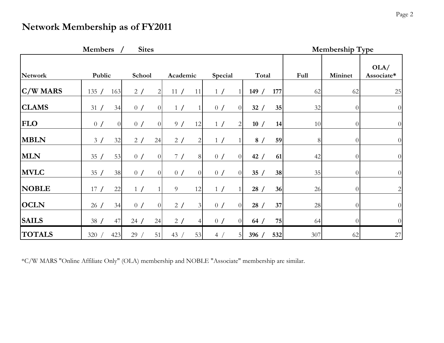#### **Network Membership as of FY2011**

|                 | <b>Members</b>       | <b>Sites</b>          |                       |                       |             | <b>Membership Type</b> |                |                              |
|-----------------|----------------------|-----------------------|-----------------------|-----------------------|-------------|------------------------|----------------|------------------------------|
| <b>Network</b>  | Public               | School                | Academic              | Special               | Total       | Full                   | Mininet        | OLA/<br>Associate*           |
| <b>C/W MARS</b> | 135 /<br>163         | 2 /<br>$\overline{2}$ | 11/<br>11             | 1 /                   | 177<br>149/ | 62                     | 62             | 25                           |
| <b>CLAMS</b>    | 34<br>31/            | 0/<br>$\overline{0}$  | 1 /                   | 0/<br>$\overline{0}$  | 35<br>32/   | 32                     | $\Omega$       | $\theta$                     |
| <b>FLO</b>      | 0/<br>$\overline{0}$ | 0/<br>$\overline{0}$  | 9/<br>12              | 1 /<br>$\overline{2}$ | 10/<br>14   | 10                     | $\Omega$       | $\theta$                     |
| <b>MBLN</b>     | 32<br>3 /            | 24<br>2 /             | 2/<br>$\overline{c}$  | 1 /                   | 8/<br>59    | 8                      | $\Omega$       | $\overline{0}$               |
| <b>MLN</b>      | 53<br>35/            | 0/<br>$\overline{0}$  | 7/<br>8               | 0/<br>$\Omega$        | 42/<br>61   | 42                     | $\Omega$       | $\overline{0}$               |
| <b>MVLC</b>     | 38<br>35/            | 0/<br>$\overline{0}$  | 0/<br>$\overline{O}$  | 0/<br>$\overline{0}$  | 35/<br>38   | 35                     | $\Omega$       | $\theta$                     |
| <b>NOBLE</b>    | 22<br>17/            | 1 /                   | 9<br>12               | 1 /                   | 28/<br>36   | 26                     | $\overline{0}$ | $\left  \frac{2}{2} \right $ |
| <b>OCLN</b>     | 34<br>26/            | 0/<br>$\overline{0}$  | 2/<br>3 <sup>1</sup>  | 0/<br>$\overline{0}$  | 28/<br>37   | 28                     | $\overline{0}$ | $\overline{0}$               |
| <b>SAILS</b>    | 47<br>38/            | 24<br>24/             | 2 /<br>$\overline{4}$ | 0/<br>$\overline{0}$  | 75<br>64/   | 64                     | $\Omega$       | $\overline{0}$               |
| <b>TOTALS</b>   | 423<br>320/          | 51<br>29/             | 43/<br>53             | 4 /<br>5              | 532<br>396/ | 307                    | 62             | $27\,$                       |

\*C/W MARS "Online Affiliate Only" (OLA) membership and NOBLE "Associate" membership are similar.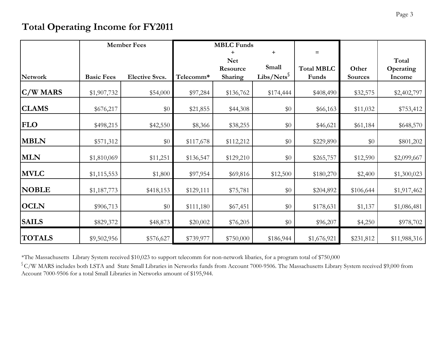#### **Total Operating Income for FY2011**

|               |                   | <b>Member Fees</b>    |           | <b>MBLC</b> Funds |                        |                   |                |              |
|---------------|-------------------|-----------------------|-----------|-------------------|------------------------|-------------------|----------------|--------------|
|               |                   |                       |           | $\ddot{}$         | $\ddot{}$              | $=$               |                |              |
|               |                   |                       |           | <b>Net</b>        |                        |                   |                | Total        |
|               |                   |                       |           | Resource          | Small                  | <b>Total MBLC</b> | Other          | Operating    |
| Network       | <b>Basic Fees</b> | <b>Elective Svcs.</b> | Telecomm* | Sharing           | Libs/Nets $\mathcal S$ | Funds             | <b>Sources</b> | Income       |
| $C/W$ MARS    | \$1,907,732       | \$54,000              | \$97,284  | \$136,762         | \$174,444              | \$408,490         | \$32,575       | \$2,402,797  |
| <b>CLAMS</b>  | \$676,217         | \$0                   | \$21,855  | \$44,308          | \$0                    | \$66,163          | \$11,032       | \$753,412    |
| <b>FLO</b>    | \$498,215         | \$42,550              | \$8,366   | \$38,255          | \$0                    | \$46,621          | \$61,184       | \$648,570    |
| <b>MBLN</b>   | \$571,312         | \$0                   | \$117,678 | \$112,212         | \$0                    | \$229,890         | \$0            | \$801,202    |
| <b>MLN</b>    | \$1,810,069       | \$11,251              | \$136,547 | \$129,210         | \$0                    | \$265,757         | \$12,590       | \$2,099,667  |
| <b>MVLC</b>   | \$1,115,553       | \$1,800               | \$97,954  | \$69,816          | \$12,500               | \$180,270         | \$2,400        | \$1,300,023  |
| <b>NOBLE</b>  | \$1,187,773       | \$418,153             | \$129,111 | \$75,781          | \$0                    | \$204,892         | \$106,644      | \$1,917,462  |
| <b>OCLN</b>   | \$906,713         | \$0                   | \$111,180 | \$67,451          | \$0                    | \$178,631         | \$1,137        | \$1,086,481  |
| <b>SAILS</b>  | \$829,372         | \$48,873              | \$20,002  | \$76,205          | \$0                    | \$96,207          | \$4,250        | \$978,702    |
| <b>TOTALS</b> | \$9,502,956       | \$576,627             | \$739,977 | \$750,000         | \$186,944              | \$1,676,921       | \$231,812      | \$11,988,316 |

\*The Massachusetts Library System received \$10,023 to support telecomm for non-network libaries, for a program total of \$750,000

 $\degree$ C/W MARS includes both LSTA and State Small Libraries in Networks funds from Account 7000-9506. The Massachusetts Library System received \$9,000 from Account 7000-9506 for a total Small Libraries in Networks amount of \$195,944.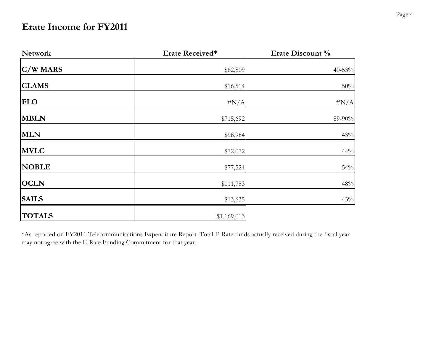#### **Erate Income for FY2011**

| <b>Network</b> | Erate Received* | Erate Discount % |  |  |
|----------------|-----------------|------------------|--|--|
| $C/W$ MARS     | \$62,809        | $40 - 53%$       |  |  |
| <b>CLAMS</b>   | \$16,514        | $50\%$           |  |  |
| <b>FLO</b>     | $\#N/A$         | $\#N/A$          |  |  |
| <b>MBLN</b>    | \$715,692       | 89-90%           |  |  |
| <b>MLN</b>     | \$98,984        | 43%              |  |  |
| <b>MVLC</b>    | \$72,072        | 44%              |  |  |
| <b>NOBLE</b>   | \$77,524        | $54\%$           |  |  |
| <b>OCLN</b>    | \$111,783       | $48\%$           |  |  |
| <b>SAILS</b>   | \$13,635        | 43%              |  |  |
| <b>TOTALS</b>  | \$1,169,013     |                  |  |  |

\*As reported on FY2011 Telecommunications Expenditure Report. Total E-Rate funds actually received during the fiscal year may not agree with the E-Rate Funding Commitment for that year.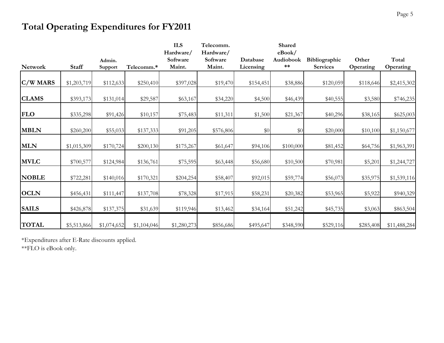#### **Total Operating Expenditures for FY2011**

|              |              |                   |             | <b>ILS</b><br>Hardware/ | Telecomm.<br>Hardware/ |                       | Shared<br>eBook/   |                                  |                    |                    |
|--------------|--------------|-------------------|-------------|-------------------------|------------------------|-----------------------|--------------------|----------------------------------|--------------------|--------------------|
| Network      | <b>Staff</b> | Admin.<br>Support | Telecomm.*  | Software<br>Maint.      | Software<br>Maint.     | Database<br>Licensing | Audiobook<br>$***$ | Bibliographic<br><b>Services</b> | Other<br>Operating | Total<br>Operating |
| $C/W$ MARS   | \$1,203,719  | \$112,633         | \$250,410   | \$397,028               | \$19,470               | \$154,451             | \$38,886           | \$120,059                        | \$118,646          | \$2,415,302        |
| <b>CLAMS</b> | \$393,173    | \$131,014         | \$29,587    | \$63,167                | \$34,220               | \$4,500               | \$46,439           | \$40,555                         | \$3,580            | \$746,235          |
| <b>FLO</b>   | \$335,298    | \$91,426          | \$10,157    | \$75,483                | \$11,311               | \$1,500               | \$21,367           | \$40,296                         | \$38,165           | \$625,003          |
| <b>MBLN</b>  | \$260,200    | \$55,033          | \$137,333   | \$91,205                | \$576,806              | $\$0$                 | \$0                | \$20,000                         | \$10,100           | \$1,150,677        |
| <b>MLN</b>   | \$1,015,309  | \$170,724         | \$200,130   | \$175,267               | \$61,647               | \$94,106              | \$100,000          | \$81,452                         | \$64,756           | \$1,963,391        |
| <b>MVLC</b>  | \$700,577    | \$124,984         | \$136,761   | \$75,595                | \$63,448               | \$56,680              | \$10,500           | \$70,981                         | \$5,201            | \$1,244,727        |
| <b>NOBLE</b> | \$722,281    | \$140,016         | \$170,321   | \$204,254               | \$58,407               | \$92,015              | \$59,774           | \$56,073                         | \$35,975           | \$1,539,116        |
| <b>OCLN</b>  | \$456,431    | \$111,447         | \$137,708   | \$78,328                | \$17,915               | \$58,231              | \$20,382           | \$53,965                         | \$5,922            | \$940,329          |
| <b>SAILS</b> | \$426,878    | \$137,375         | \$31,639    | \$119,946               | \$13,462               | \$34,164              | \$51,242           | \$45,735                         | \$3,063            | \$863,504          |
| <b>TOTAL</b> | \$5,513,866  | \$1,074,652       | \$1,104,046 | \$1,280,273             | \$856,686              | \$495,647             | \$348,590          | \$529,116                        | \$285,408          | \$11,488,284       |

\*Expenditures after E-Rate discounts applied.

\*\*FLO is eBook only.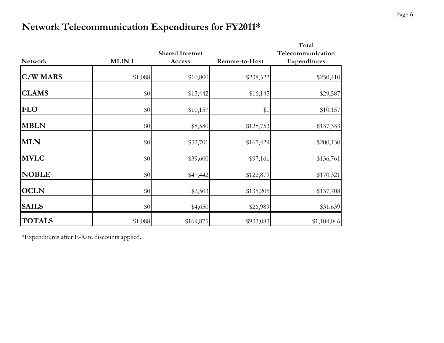#### **Network Telecommunication Expenditures for FY2011\***

|                 |              | <b>Shared Internet</b> |                | Total<br>Telecommunication |
|-----------------|--------------|------------------------|----------------|----------------------------|
| <b>Network</b>  | <b>MLINI</b> | Access                 | Remote-to-Host | Expenditures               |
| <b>C/W MARS</b> | \$1,088      | \$10,800               | \$238,522      | \$250,410                  |
| <b>CLAMS</b>    | $\$0$        | \$13,442               | \$16,145       | \$29,587                   |
| <b>FLO</b>      | \$0          | \$10,157               | \$0            | \$10,157                   |
| <b>MBLN</b>     | \$0          | \$8,580                | \$128,753      | \$137,333                  |
| <b>MLN</b>      | $\$0$        | \$32,701               | \$167,429      | \$200,130                  |
| <b>MVLC</b>     | \$0          | \$39,600               | \$97,161       | \$136,761                  |
| <b>NOBLE</b>    | \$0          | \$47,442               | \$122,879      | \$170,321                  |
| <b>OCLN</b>     | \$0          | \$2,503                | \$135,205      | \$137,708                  |
| <b>SAILS</b>    | $\$0$        | \$4,650                | \$26,989       | \$31,639                   |
| <b>TOTALS</b>   | \$1,088      | \$169,875              | \$933,083      | \$1,104,046                |

\*Expenditures after E-Rate discounts applied.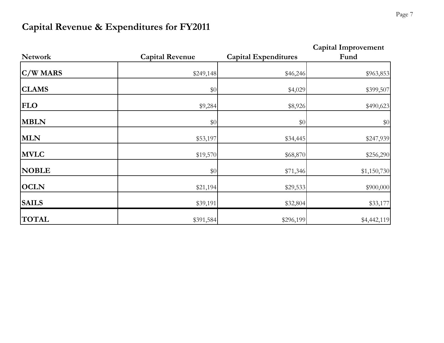### **Capital Revenue & Expenditures for FY2011**

| <b>Network</b> | <b>Capital Revenue</b> | <b>Capital Expenditures</b> | <b>Capital Improvement</b><br>Fund |
|----------------|------------------------|-----------------------------|------------------------------------|
| $C/W$ MARS     | \$249,148              | \$46,246                    | \$963,853                          |
| <b>CLAMS</b>   | \$0                    | \$4,029                     | \$399,507                          |
| <b>FLO</b>     | \$9,284                | \$8,926                     | \$490,623                          |
| <b>MBLN</b>    | \$0                    | \$0                         | \$0                                |
| <b>MLN</b>     | \$53,197               | \$34,445                    | \$247,939                          |
| <b>MVLC</b>    | \$19,570               | \$68,870                    | \$256,290                          |
| <b>NOBLE</b>   | \$0                    | \$71,346                    | \$1,150,730                        |
| <b>OCLN</b>    | \$21,194               | \$29,533                    | \$900,000                          |
| <b>SAILS</b>   | \$39,191               | \$32,804                    | \$33,177                           |
| <b>TOTAL</b>   | \$391,584              | \$296,199                   | \$4,442,119                        |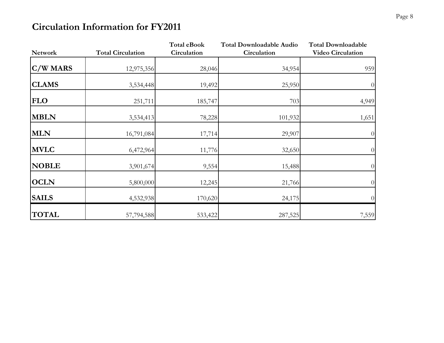#### **Circulation Information for FY2011**

|                |                          | <b>Total eBook</b> | <b>Total Downloadable Audio</b> | <b>Total Downloadable</b> |
|----------------|--------------------------|--------------------|---------------------------------|---------------------------|
| <b>Network</b> | <b>Total Circulation</b> | Circulation        | Circulation                     | <b>Video Circulation</b>  |
| C/W MARS       | 12,975,356               | 28,046             | 34,954                          | 959                       |
| <b>CLAMS</b>   | 3,534,448                | 19,492             | 25,950                          | $\overline{0}$            |
| <b>FLO</b>     | 251,711                  | 185,747            | 703                             | 4,949                     |
| <b>MBLN</b>    | 3,534,413                | 78,228             | 101,932                         | 1,651                     |
| <b>MLN</b>     | 16,791,084               | 17,714             | 29,907                          | $\overline{0}$            |
| <b>MVLC</b>    | 6,472,964                | 11,776             | 32,650                          | $\overline{0}$            |
| <b>NOBLE</b>   | 3,901,674                | 9,554              | 15,488                          | $\overline{0}$            |
| <b>OCLN</b>    | 5,800,000                | 12,245             | 21,766                          | $\overline{0}$            |
| <b>SAILS</b>   | 4,532,938                | 170,620            | 24,175                          | $\overline{0}$            |
| <b>TOTAL</b>   | 57,794,588               | 533,422            | 287,525                         | 7,559                     |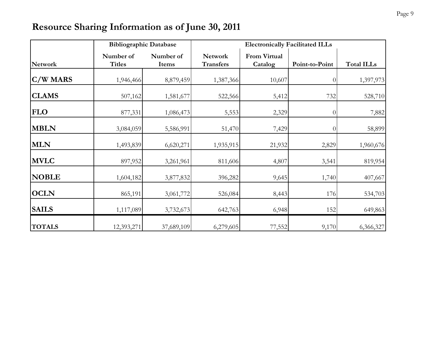#### **Resource Sharing Information as of June 30, 2011**

|                | <b>Bibliographic Database</b> |                    | <b>Electronically Facilitated ILLs</b> |                                |                  |                   |  |  |
|----------------|-------------------------------|--------------------|----------------------------------------|--------------------------------|------------------|-------------------|--|--|
| <b>Network</b> | Number of<br><b>Titles</b>    | Number of<br>Items | <b>Network</b><br><b>Transfers</b>     | <b>From Virtual</b><br>Catalog | Point-to-Point   | <b>Total ILLs</b> |  |  |
| $C/W$ MARS     | 1,946,466                     | 8,879,459          | 1,387,366                              | 10,607                         | $\left( \right)$ | 1,397,973         |  |  |
| <b>CLAMS</b>   | 507,162                       | 1,581,677          | 522,566                                | 5,412                          | 732              | 528,710           |  |  |
| <b>FLO</b>     | 877,331                       | 1,086,473          | 5,553                                  | 2,329                          | $\Omega$         | 7,882             |  |  |
| <b>MBLN</b>    | 3,084,059                     | 5,586,991          | 51,470                                 | 7,429                          | $\Omega$         | 58,899            |  |  |
| <b>MLN</b>     | 1,493,839                     | 6,620,271          | 1,935,915                              | 21,932                         | 2,829            | 1,960,676         |  |  |
| <b>MVLC</b>    | 897,952                       | 3,261,961          | 811,606                                | 4,807                          | 3,541            | 819,954           |  |  |
| <b>NOBLE</b>   | 1,604,182                     | 3,877,832          | 396,282                                | 9,645                          | 1,740            | 407,667           |  |  |
| <b>OCLN</b>    | 865,191                       | 3,061,772          | 526,084                                | 8,443                          | 176              | 534,703           |  |  |
| <b>SAILS</b>   | 1,117,089                     | 3,732,673          | 642,763                                | 6,948                          | 152              | 649,863           |  |  |
| <b>TOTALS</b>  | 12,393,271                    | 37,689,109         | 6,279,605                              | 77,552                         | 9,170            | 6,366,327         |  |  |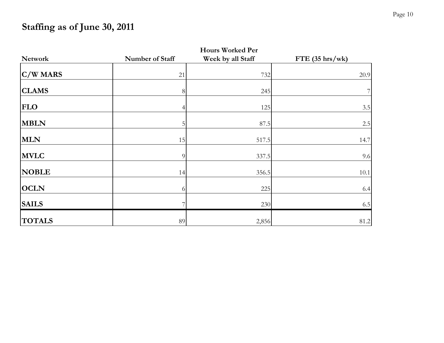### **Staffing as of June 30, 2011**

|                | <b>Hours Worked Per</b> |                   |                   |  |  |  |  |  |
|----------------|-------------------------|-------------------|-------------------|--|--|--|--|--|
| <b>Network</b> | Number of Staff         | Week by all Staff | $FTE$ (35 hrs/wk) |  |  |  |  |  |
| C/W MARS       | 21                      | 732               | 20.9              |  |  |  |  |  |
| <b>CLAMS</b>   | 8                       | 245               | 7 <sub>l</sub>    |  |  |  |  |  |
| <b>FLO</b>     | 4                       | 125               | 3.5               |  |  |  |  |  |
| <b>MBLN</b>    | 5                       | 87.5              | 2.5               |  |  |  |  |  |
| <b>MLN</b>     | 15                      | 517.5             | 14.7              |  |  |  |  |  |
| <b>MVLC</b>    | 9                       | 337.5             | 9.6               |  |  |  |  |  |
| <b>NOBLE</b>   | 14                      | 356.5             | 10.1              |  |  |  |  |  |
| <b>OCLN</b>    | 6                       | 225               | 6.4               |  |  |  |  |  |
| <b>SAILS</b>   |                         | 230               | 6.5               |  |  |  |  |  |
| <b>TOTALS</b>  | 89                      | 2,856             | 81.2              |  |  |  |  |  |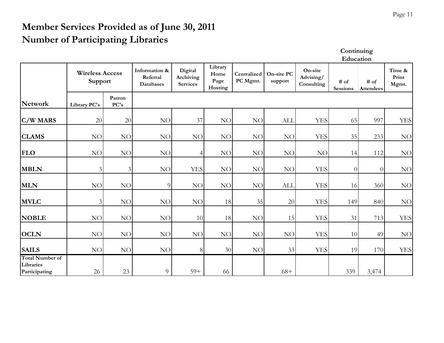#### **Member Services Provided as of June 30, 2011 Number of Participating Libraries**

**Continuing Education**

|                                                      | <b>Wireless Access</b><br>Support |                | Information &<br>Referral<br><b>Databases</b> | Digital<br>Archiving<br><b>Services</b> | Library<br>Home<br>Page<br>Hosting | Centralized<br>PC Mgmt. | On-site PC<br>support | On-site<br>Advising/<br>Consulting | $#$ of<br><b>Sessions</b> | $\#$ of<br>Attendees | Time &<br>Print<br>Mgmt. |
|------------------------------------------------------|-----------------------------------|----------------|-----------------------------------------------|-----------------------------------------|------------------------------------|-------------------------|-----------------------|------------------------------------|---------------------------|----------------------|--------------------------|
| Network                                              | Library PC's                      | Patron<br>PC's |                                               |                                         |                                    |                         |                       |                                    |                           |                      |                          |
| C/W MARS                                             | 20                                | 20             | <b>NO</b>                                     | 37                                      | NO                                 | NO                      | ALI.                  | <b>YES</b>                         | 65                        | 997                  | <b>YES</b>               |
| <b>CLAMS</b>                                         | NO                                | NO             | NO                                            | NO                                      | NO                                 | NO                      | NO                    | <b>YES</b>                         | 35                        | 233                  | NO                       |
| <b>FLO</b>                                           | NO                                | $\rm NO$       | NO                                            | $\left 4\right $                        | NO                                 | $\rm NO$                | NO                    | NO                                 | 14                        | 112                  | $\rm NO$                 |
| <b>MBLN</b>                                          | 3                                 | $\mathfrak{Z}$ | NO                                            | <b>YES</b>                              | NO                                 | $\rm NO$                | NO                    | <b>YES</b>                         | $\overline{0}$            | $\theta$             | $NO$                     |
| <b>MLN</b>                                           | NO                                | NO             | $\overline{9}$                                | NO                                      | NO                                 | NO                      | ALI.                  | <b>YES</b>                         | 16                        | 360                  | NO                       |
| <b>MVLC</b>                                          | 3                                 | NO             | NO                                            | NO                                      | 18                                 | 35                      | 20                    | <b>YES</b>                         | 149                       | 840                  | $\rm NO$                 |
| <b>NOBLE</b>                                         | NO                                | NO             | NO                                            | 10                                      | 18                                 | $\rm NO$                | 15                    | <b>YES</b>                         | 31                        | 713                  | <b>YES</b>               |
| <b>OCLN</b>                                          | <b>NO</b>                         | <b>NO</b>      | <b>NO</b>                                     | NO                                      | <b>NO</b>                          | NO                      | NO                    | <b>YES</b>                         | 10                        | 49                   | $NO$                     |
| <b>SAILS</b>                                         | $\rm NO$                          | $\rm NO$       | NO                                            | 8                                       | 30                                 | NO                      | 33                    | <b>YES</b>                         | 19                        | 170                  | <b>YES</b>               |
| <b>Total Number of</b><br>Libraries<br>Participating | 26                                | 23             | 9                                             | $59+$                                   | 66                                 |                         | $68+$                 |                                    | 339                       | 3,474                |                          |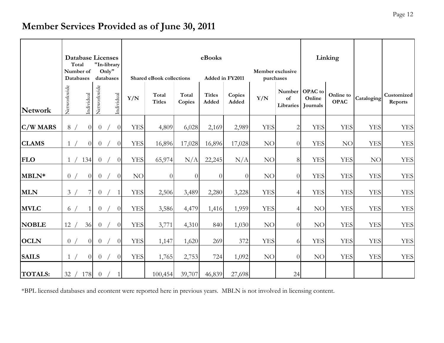#### **Member Services Provided as of June 30, 2011**

|                | <b>Database Licenses</b><br>Total<br>"In-library<br>Only"<br>Number of<br><b>Databases</b><br>databases |                |             | eBooks<br>Member exclusive<br><b>Shared eBook collections</b><br>Added in FY2011<br>purchases |                |            |                        |                 | Linking                |                 |            |                           |                                      |                          |            |                       |
|----------------|---------------------------------------------------------------------------------------------------------|----------------|-------------|-----------------------------------------------------------------------------------------------|----------------|------------|------------------------|-----------------|------------------------|-----------------|------------|---------------------------|--------------------------------------|--------------------------|------------|-----------------------|
| <b>Network</b> | Networkwide                                                                                             | Individual     | Networkwide |                                                                                               | Individual     | Y/N        | Total<br><b>Titles</b> | Total<br>Copies | <b>Titles</b><br>Added | Copies<br>Added | Y/N        | Number<br>of<br>Libraries | <b>OPAC</b> to<br>Online<br>Journals | Online to<br><b>OPAC</b> | Cataloging | Customized<br>Reports |
| C/W MARS       | 8/                                                                                                      | $\overline{0}$ |             | $\theta$                                                                                      | $\overline{0}$ | <b>YES</b> | 4,809                  | 6,028           | 2,169                  | 2,989           | <b>YES</b> | $\mathfrak{2}$            | <b>YES</b>                           | <b>YES</b>               | <b>YES</b> | <b>YES</b>            |
| <b>CLAMS</b>   | 1/                                                                                                      | $\overline{0}$ |             | $\theta$                                                                                      | $\Omega$       | <b>YES</b> | 16,896                 | 17,028          | 16,896                 | 17,028          | NO         | $\overline{0}$            | <b>YES</b>                           | NO                       | <b>YES</b> | <b>YES</b>            |
| <b>FLO</b>     | $\mathbf{1}$                                                                                            | 134            |             | $\overline{0}$                                                                                | $\overline{0}$ | <b>YES</b> | 65,974                 | N/A             | 22,245                 | N/A             | NO         | $8\,$                     | <b>YES</b>                           | <b>YES</b>               | NO         | <b>YES</b>            |
| MBLN*          | $\overline{0}$                                                                                          | $\Omega$       |             | $\overline{0}$                                                                                | $\theta$       | NO         | $\overline{0}$         | $\overline{0}$  | $\Omega$               | $\overline{0}$  | NO         | $\overline{0}$            | <b>YES</b>                           | <b>YES</b>               | <b>YES</b> | <b>YES</b>            |
| <b>MLN</b>     | 3/                                                                                                      | 7              |             | $\overline{0}$                                                                                | 1              | <b>YES</b> | 2,506                  | 3,489           | 2,280                  | 3,228           | <b>YES</b> | $\overline{4}$            | <b>YES</b>                           | <b>YES</b>               | <b>YES</b> | <b>YES</b>            |
| <b>MVLC</b>    | 6/                                                                                                      |                |             | $\overline{0}$                                                                                | $\overline{0}$ | <b>YES</b> | 3,586                  | 4,479           | 1,416                  | 1,959           | <b>YES</b> | $\overline{4}$            | NO                                   | <b>YES</b>               | <b>YES</b> | <b>YES</b>            |
| <b>NOBLE</b>   | 12                                                                                                      | 36             |             | $\overline{0}$                                                                                | $\overline{0}$ | <b>YES</b> | 3,771                  | 4,310           | 840                    | 1,030           | NO         | $\overline{0}$            | NO                                   | <b>YES</b>               | <b>YES</b> | <b>YES</b>            |
| <b>OCLN</b>    | 0/                                                                                                      | $\Omega$       |             | $\overline{0}$                                                                                | $\overline{0}$ | <b>YES</b> | 1,147                  | 1,620           | 269                    | 372             | <b>YES</b> | 6                         | <b>YES</b>                           | <b>YES</b>               | <b>YES</b> | <b>YES</b>            |
| <b>SAILS</b>   | 1/                                                                                                      | $\overline{0}$ |             | $\overline{0}$                                                                                | $\overline{0}$ | <b>YES</b> | 1,765                  | 2,753           | 724                    | 1,092           | NO         | $\overline{0}$            | <b>NO</b>                            | <b>YES</b>               | <b>YES</b> | <b>YES</b>            |
| <b>TOTALS:</b> |                                                                                                         | 32 / 178       |             | $\overline{0}$                                                                                | 1              |            | 100,454                | 39,707          | 46,839                 | 27,698          |            | 24                        |                                      |                          |            |                       |

\*BPL licensed databases and econtent were reported here in previous years. MBLN is not involved in licensing content.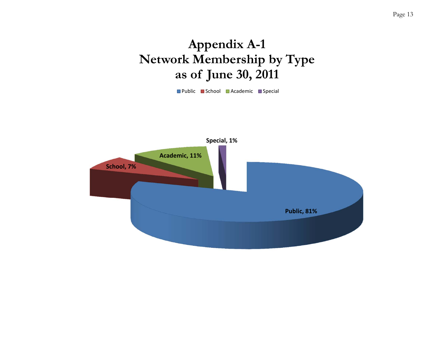## **Appendix A-1 Network Membership by Type as of June 30, 2011**

Public ■ School ■ Academic ■ Special

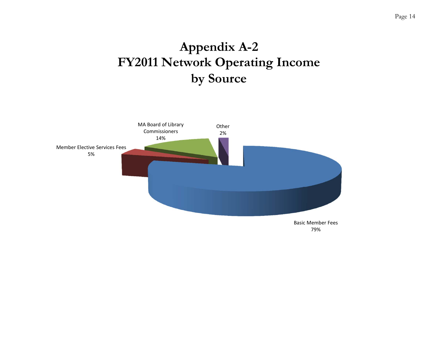# **Appendix A-2 FY2011 Network Operating Income by Source**

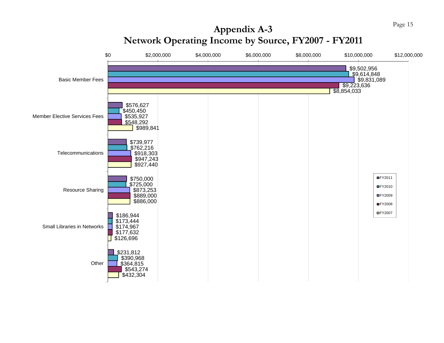

# **Appendix A-3**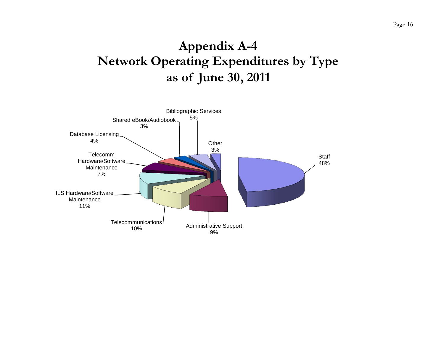## **Appendix A-4 Network Operating Expenditures by Type as of June 30, 2011**

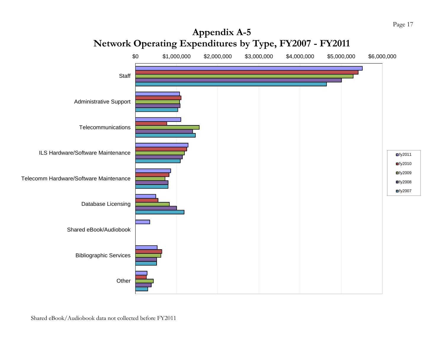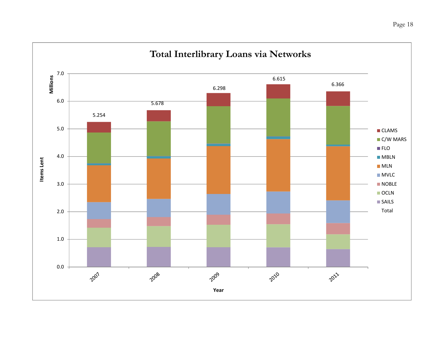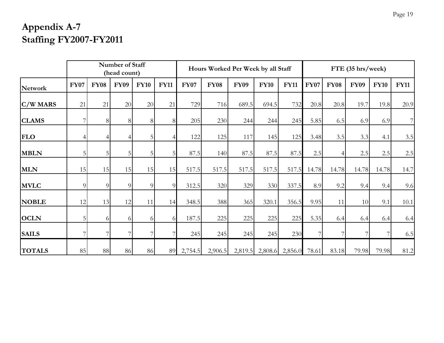### **Appendix A-7 Staffing FY2007-FY2011**

| Number of Staff<br>(head count) |                |                |             | Hours Worked Per Week by all Staff |             |             |             | FTE (35 hrs/week) |                         |             |             |             |             |             |             |
|---------------------------------|----------------|----------------|-------------|------------------------------------|-------------|-------------|-------------|-------------------|-------------------------|-------------|-------------|-------------|-------------|-------------|-------------|
| <b>Network</b>                  | <b>FY07</b>    | <b>FY08</b>    | <b>FY09</b> | <b>FY10</b>                        | <b>FY11</b> | <b>FY07</b> | <b>FY08</b> | <b>FY09</b>       | <b>FY10</b>             | <b>FY11</b> | <b>FY07</b> | <b>FY08</b> | <b>FY09</b> | <b>FY10</b> | <b>FY11</b> |
| $C/W$ MARS                      | 21             | 21             | 20          | 20                                 | 21          | 729         | 716         | 689.5             | 694.5                   | 732         | 20.8        | 20.8        | 19.7        | 19.8        | 20.9        |
| <b>CLAMS</b>                    |                | 8              | 81          | 8                                  | 8           | 205         | 230         | 244               | 244                     | 245         | 5.85        | 6.5         | 6.9         | 6.9         | $7\vert$    |
| <b>FLO</b>                      |                | $\overline{4}$ |             | 5                                  |             | 122         | 125         | 117               | 145                     | 125         | 3.48        | 3.5         | 3.3         | 4.1         | $3.5\,$     |
| <b>MBLN</b>                     | 5 <sub>l</sub> | 5              | 5           | 5                                  | 5           | 87.5        | 140         | 87.5              | 87.5                    | 87.5        | 2.5         |             | 2.5         | 2.5         | $2.5\,$     |
| <b>MLN</b>                      | 15             | 15             | 15          | 15                                 | 15          | 517.5       | 517.5       | 517.5             | 517.5                   | 517.5       | 14.78       | 14.78       | 14.78       | 14.78       | 14.7        |
| <b>MVLC</b>                     | $\overline{9}$ | 9              | 9           | 9                                  | 9           | 312.5       | 320         | 329               | 330                     | 337.5       | 8.9         | 9.2         | 9.4         | 9.4         | 9.6         |
| <b>NOBLE</b>                    | 12             | 13             | 12          | 11                                 | 14          | 348.5       | 388         | 365               | 320.1                   | 356.5       | 9.95        | 11          | 10          | 9.1         | 10.1        |
| <b>OCLN</b>                     | 5 <sub>l</sub> | 6              | $\Omega$    | 6                                  |             | 187.5       | 225         | 225               | 225                     | 225         | 5.35        | 6.4         | 6.4         | 6.4         | 6.4         |
| <b>SAILS</b>                    | 7              | 7              |             | 7                                  |             | 245         | 245         | 245               | 245                     | 230         |             |             |             |             | 6.5         |
| <b>TOTALS</b>                   | 85             | $88\,$         | 86          | 86                                 | 89          | 2,754.5     | 2,906.5     |                   | 2,819.5 2,808.6 2,856.0 |             | 78.61       | 83.18       | 79.98       | 79.98       | 81.2        |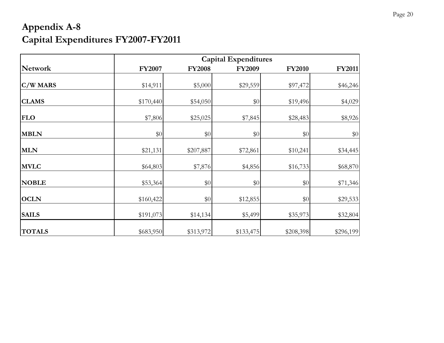### **Appendix A-8 Capital Expenditures FY2007-FY2011**

|               | <b>Capital Expenditures</b> |               |               |               |               |  |  |  |  |  |
|---------------|-----------------------------|---------------|---------------|---------------|---------------|--|--|--|--|--|
| Network       | <b>FY2007</b>               | <b>FY2008</b> | <b>FY2009</b> | <b>FY2010</b> | <b>FY2011</b> |  |  |  |  |  |
| $C/W$ MARS    | \$14,911                    | \$5,000       | \$29,559      | \$97,472      | \$46,246      |  |  |  |  |  |
| <b>CLAMS</b>  | \$170,440                   | \$54,050      | \$0           | \$19,496      | \$4,029       |  |  |  |  |  |
| <b>FLO</b>    | \$7,806                     | \$25,025      | \$7,845       | \$28,483      | \$8,926       |  |  |  |  |  |
| <b>MBLN</b>   | $\$0$                       | $\$0$         | \$0           | \$0           | $\$0$         |  |  |  |  |  |
| <b>MLN</b>    | \$21,131                    | \$207,887     | \$72,861      | \$10,241      | \$34,445      |  |  |  |  |  |
| <b>MVLC</b>   | \$64,803                    | \$7,876       | \$4,856       | \$16,733      | \$68,870      |  |  |  |  |  |
| <b>NOBLE</b>  | \$53,364                    | \$0           | \$0           | \$0           | \$71,346      |  |  |  |  |  |
| <b>OCLN</b>   | \$160,422                   | \$0           | \$12,855      | \$0           | \$29,533      |  |  |  |  |  |
| <b>SAILS</b>  | \$191,073                   | \$14,134      | \$5,499       | \$35,973      | \$32,804      |  |  |  |  |  |
| <b>TOTALS</b> | \$683,950                   | \$313,972     | \$133,475     | \$208,398     | \$296,199     |  |  |  |  |  |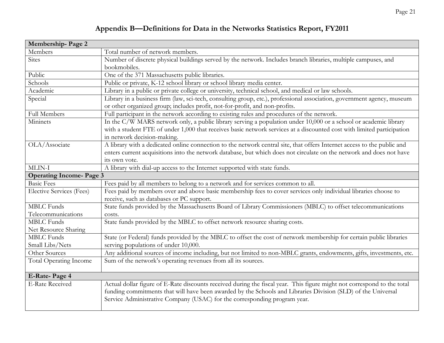#### **Appendix B—Definitions for Data in the Networks Statistics Report, FY2011**

| Membership-Page 2               |                                                                                                                         |
|---------------------------------|-------------------------------------------------------------------------------------------------------------------------|
| Members                         | Total number of network members.                                                                                        |
| <b>Sites</b>                    | Number of discrete physical buildings served by the network. Includes branch libraries, multiple campuses, and          |
|                                 | bookmobiles.                                                                                                            |
| Public                          | One of the 371 Massachusetts public libraries.                                                                          |
| Schools                         | Public or private, K-12 school library or school library media center.                                                  |
| Academic                        | Library in a public or private college or university, technical school, and medical or law schools.                     |
| Special                         | Library in a business firm (law, sci-tech, consulting group, etc.), professional association, government agency, museum |
|                                 | or other organized group; includes profit, not-for-profit, and non-profits.                                             |
| Full Members                    | Full participant in the network according to existing rules and procedures of the network.                              |
| Mininets                        | In the C/W MARS network only, a public library serving a population under 10,000 or a school or academic library        |
|                                 | with a student FTE of under 1,000 that receives basic network services at a discounted cost with limited participation  |
|                                 | in network decision-making.                                                                                             |
| OLA/Associate                   | A library with a dedicated online connection to the network central site, that offers Internet access to the public and |
|                                 | enters current acquisitions into the network database, but which does not circulate on the network and does not have    |
|                                 | its own vote.                                                                                                           |
| MLIN-I                          | A library with dial-up access to the Internet supported with state funds.                                               |
| <b>Operating Income-Page 3</b>  |                                                                                                                         |
| <b>Basic Fees</b>               | Fees paid by all members to belong to a network and for services common to all.                                         |
| <b>Elective Services (Fees)</b> | Fees paid by members over and above basic membership fees to cover services only individual libraries choose to         |
|                                 | receive, such as databases or PC support.                                                                               |
| <b>MBLC</b> Funds               | State funds provided by the Massachusetts Board of Library Commissioners (MBLC) to offset telecommunications            |
| Telecommunications              | costs.                                                                                                                  |
| <b>MBLC</b> Funds               | State funds provided by the MBLC to offset network resource sharing costs.                                              |
| Net Resource Sharing            |                                                                                                                         |
| <b>MBLC</b> Funds               | State (or Federal) funds provided by the MBLC to offset the cost of network membership for certain public libraries     |
| Small Libs/Nets                 | serving populations of under 10,000.                                                                                    |
| Other Sources                   | Any additional sources of income including, but not limited to non-MBLC grants, endowments, gifts, investments, etc.    |
| <b>Total Operating Income</b>   | Sum of the network's operating revenues from all its sources.                                                           |
|                                 |                                                                                                                         |
| E-Rate-Page 4                   |                                                                                                                         |
| <b>E-Rate Received</b>          | Actual dollar figure of E-Rate discounts received during the fiscal year. This figure might not correspond to the total |
|                                 | funding commitments that will have been awarded by the Schools and Libraries Division (SLD) of the Universal            |
|                                 | Service Administrative Company (USAC) for the corresponding program year.                                               |
|                                 |                                                                                                                         |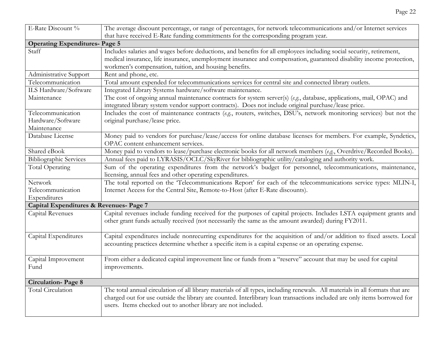| E-Rate Discount %                       | The average discount percentage, or range of percentages, for network telecommunications and/or Internet services             |
|-----------------------------------------|-------------------------------------------------------------------------------------------------------------------------------|
|                                         | that have received E-Rate funding commitments for the corresponding program year.                                             |
| <b>Operating Expenditures- Page 5</b>   |                                                                                                                               |
| Staff                                   | Includes salaries and wages before deductions, and benefits for all employees including social security, retirement,          |
|                                         | medical insurance, life insurance, unemployment insurance and compensation, guaranteed disability income protection,          |
|                                         | workmen's compensation, tuition, and housing benefits.                                                                        |
| Administrative Support                  | Rent and phone, etc.                                                                                                          |
| Telecommunication                       | Total amount expended for telecommunications services for central site and connected library outlets.                         |
| ILS Hardware/Software                   | Integrated Library Systems hardware/software maintenance.                                                                     |
| Maintenance                             | The cost of ongoing annual maintenance contracts for system server(s) (e.g., database, applications, mail, OPAC) and          |
|                                         | integrated library system vendor support contracts). Does not include original purchase/lease price.                          |
| Telecommunication                       | Includes the cost of maintenance contracts (e.g., routers, switches, DSU's, network monitoring services) but not the          |
| Hardware/Software                       | original purchase/lease price.                                                                                                |
| Maintenance                             |                                                                                                                               |
| Database License                        | Money paid to vendors for purchase/lease/access for online database licenses for members. For example, Syndetics,             |
|                                         | OPAC content enhancement services.                                                                                            |
| Shared eBook                            | Money paid to vendors to lease/purchase electronic books for all network members (e.g., Overdrive/Recorded Books).            |
| <b>Bibliographic Services</b>           | Annual fees paid to LYRASIS/OCLC/SkyRiver for bibliographic utility/cataloging and authority work.                            |
| <b>Total Operating</b>                  | Sum of the operating expenditures from the network's budget for personnel, telecommunications, maintenance,                   |
|                                         | licensing, annual fees and other operating expenditures.                                                                      |
| Network                                 | The total reported on the 'Telecommunications Report' for each of the telecommunications service types: MLIN-I,               |
| Telecommunication                       | Internet Access for the Central Site, Remote-to-Host (after E-Rate discounts).                                                |
| Expenditures                            |                                                                                                                               |
| Capital Expenditures & Revenues- Page 7 |                                                                                                                               |
| Capital Revenues                        | Capital revenues include funding received for the purposes of capital projects. Includes LSTA equipment grants and            |
|                                         | other grant funds actually received (not necessarily the same as the amount awarded) during FY2011.                           |
|                                         |                                                                                                                               |
| Capital Expenditures                    | Capital expenditures include nonrecurring expenditures for the acquisition of and/or addition to fixed assets. Local          |
|                                         | accounting practices determine whether a specific item is a capital expense or an operating expense.                          |
|                                         |                                                                                                                               |
| Capital Improvement                     | From either a dedicated capital improvement line or funds from a "reserve" account that may be used for capital               |
| Fund                                    | improvements.                                                                                                                 |
|                                         |                                                                                                                               |
| <b>Circulation-Page 8</b>               |                                                                                                                               |
| Total Circulation                       | The total annual circulation of all library materials of all types, including renewals. All materials in all formats that are |
|                                         | charged out for use outside the library are counted. Interlibrary loan transactions included are only items borrowed for      |
|                                         | users. Items checked out to another library are not included.                                                                 |
|                                         |                                                                                                                               |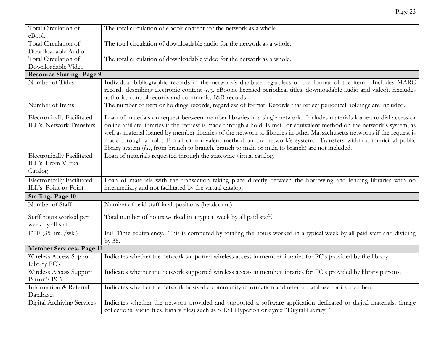| Total Circulation of               | The total circulation of eBook content for the network as a whole.                                                                                                                                                                                                                                                                                                                                                                                                           |
|------------------------------------|------------------------------------------------------------------------------------------------------------------------------------------------------------------------------------------------------------------------------------------------------------------------------------------------------------------------------------------------------------------------------------------------------------------------------------------------------------------------------|
| eBook                              |                                                                                                                                                                                                                                                                                                                                                                                                                                                                              |
| Total Circulation of               | The total circulation of downloadable audio for the network as a whole.                                                                                                                                                                                                                                                                                                                                                                                                      |
| Downloadable Audio                 |                                                                                                                                                                                                                                                                                                                                                                                                                                                                              |
| Total Circulation of               | The total circulation of downloadable video for the network as a whole.                                                                                                                                                                                                                                                                                                                                                                                                      |
| Downloadable Video                 |                                                                                                                                                                                                                                                                                                                                                                                                                                                                              |
| <b>Resource Sharing-Page 9</b>     |                                                                                                                                                                                                                                                                                                                                                                                                                                                                              |
| Number of Titles                   | Individual bibliographic records in the network's database regardless of the format of the item. Includes MARC<br>records describing electronic content (e.g., eBooks, licensed periodical titles, downloadable audio and video). Excludes<br>authority control records and community I&R records.                                                                                                                                                                           |
| Number of Items                    | The number of item or holdings records, regardless of format. Records that reflect periodical holdings are included.                                                                                                                                                                                                                                                                                                                                                         |
| <b>Electronically Facilitated</b>  | Loan of materials on request between member libraries in a single network. Includes materials loaned to dial access or                                                                                                                                                                                                                                                                                                                                                       |
| ILL's Network Transfers            | online affiliate libraries if the request is made through a hold, E-mail, or equivalent method on the network's system, as<br>well as material loaned by member libraries of the network to libraries in other Massachusetts networks if the request is<br>made through a hold, E-mail or equivalent method on the network's system. Transfers within a municipal public<br>library system (i.e., from branch to branch, branch to main or main to branch) are not included. |
| <b>Electronically Facilitated</b>  | Loan of materials requested through the statewide virtual catalog.                                                                                                                                                                                                                                                                                                                                                                                                           |
| ILL's From Virtual                 |                                                                                                                                                                                                                                                                                                                                                                                                                                                                              |
| Catalog                            |                                                                                                                                                                                                                                                                                                                                                                                                                                                                              |
| Electronically Facilitated         | Loan of materials with the transaction taking place directly between the borrowing and lending libraries with no                                                                                                                                                                                                                                                                                                                                                             |
| ILL's Point-to-Point               | intermediary and not facilitated by the virtual catalog.                                                                                                                                                                                                                                                                                                                                                                                                                     |
| <b>Staffing-Page 10</b>            |                                                                                                                                                                                                                                                                                                                                                                                                                                                                              |
| Number of Staff                    | Number of paid staff in all positions (headcount).                                                                                                                                                                                                                                                                                                                                                                                                                           |
| Staff hours worked per             | Total number of hours worked in a typical week by all paid staff.                                                                                                                                                                                                                                                                                                                                                                                                            |
| week by all staff                  |                                                                                                                                                                                                                                                                                                                                                                                                                                                                              |
| FTE $(35 \text{ hrs.}/\text{wk.})$ | Full-Time equivalency. This is computed by totaling the hours worked in a typical week by all paid staff and dividing                                                                                                                                                                                                                                                                                                                                                        |
|                                    | by 35.                                                                                                                                                                                                                                                                                                                                                                                                                                                                       |
| <b>Member Services- Page 11</b>    |                                                                                                                                                                                                                                                                                                                                                                                                                                                                              |
| Wireless Access Support            | Indicates whether the network supported wireless access in member libraries for PC's provided by the library.                                                                                                                                                                                                                                                                                                                                                                |
| Library PC's                       |                                                                                                                                                                                                                                                                                                                                                                                                                                                                              |
| Wireless Access Support            | Indicates whether the network supported wireless access in member libraries for PC's provided by library patrons.                                                                                                                                                                                                                                                                                                                                                            |
| Patron's PC's                      |                                                                                                                                                                                                                                                                                                                                                                                                                                                                              |
| Information & Referral             | Indicates whether the network hostsed a community information and referral database for its members.                                                                                                                                                                                                                                                                                                                                                                         |
| Databases                          |                                                                                                                                                                                                                                                                                                                                                                                                                                                                              |
| Digital Archiving Services         | Indicates whether the network provided and supported a software application dedicated to digital materials, (image<br>collections, audio files, binary files) such as SIRSI Hyperion or dynix "Digital Library."                                                                                                                                                                                                                                                             |

Page 23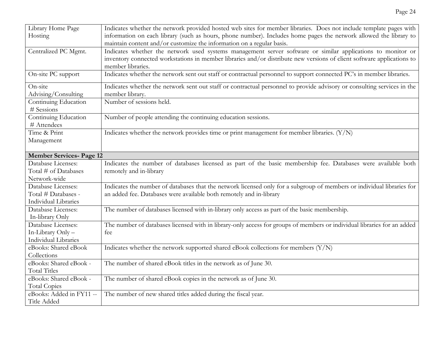| Library Home Page               | Indicates whether the network provided hosted web sites for member libraries. Does not include template pages with      |
|---------------------------------|-------------------------------------------------------------------------------------------------------------------------|
| Hosting                         | information on each library (such as hours, phone number). Includes home pages the network allowed the library to       |
|                                 | maintain content and/or customize the information on a regular basis.                                                   |
| Centralized PC Mgmt.            | Indicates whether the network used systems management server software or similar applications to monitor or             |
|                                 | inventory connected workstations in member libraries and/or distribute new versions of client software applications to  |
|                                 | member libraries.                                                                                                       |
| On-site PC support              | Indicates whether the network sent out staff or contractual personnel to support connected PC's in member libraries.    |
| On-site                         | Indicates whether the network sent out staff or contractual personnel to provide advisory or consulting services in the |
| Advising/Consulting             | member library.                                                                                                         |
| Continuing Education            | Number of sessions held.                                                                                                |
| # Sessions                      |                                                                                                                         |
| Continuing Education            | Number of people attending the continuing education sessions.                                                           |
| # Attendees                     |                                                                                                                         |
| Time & Print                    | Indicates whether the network provides time or print management for member libraries. (Y/N)                             |
| Management                      |                                                                                                                         |
|                                 |                                                                                                                         |
| <b>Member Services- Page 12</b> |                                                                                                                         |
| Database Licenses:              | Indicates the number of databases licensed as part of the basic membership fee. Databases were available both           |
| Total # of Databases            | remotely and in-library                                                                                                 |
| Network-wide                    |                                                                                                                         |
| Database Licenses:              | Indicates the number of databases that the network licensed only for a subgroup of members or individual libraries for  |
| Total # Databases -             | an added fee. Databases were available both remotely and in-library                                                     |
| <b>Individual Libraries</b>     |                                                                                                                         |
| Database Licenses:              | The number of databases licensed with in-library only access as part of the basic membership.                           |
| In-library Only                 |                                                                                                                         |
| Database Licenses:              | The number of databases licensed with in library-only access for groups of members or individual libraries for an added |
| In-Library Only -               | fee                                                                                                                     |
| Individual Libraries            |                                                                                                                         |
| eBooks: Shared eBook            | Indicates whether the network supported shared eBook collections for members (Y/N)                                      |
| Collections                     |                                                                                                                         |
| eBooks: Shared eBook -          | The number of shared eBook titles in the network as of June 30.                                                         |
| <b>Total Titles</b>             |                                                                                                                         |
| eBooks: Shared eBook -          | The number of shared eBook copies in the network as of June 30.                                                         |
| <b>Total Copies</b>             |                                                                                                                         |
| eBooks: Added in FY11 --        | The number of new shared titles added during the fiscal year.                                                           |
| Title Added                     |                                                                                                                         |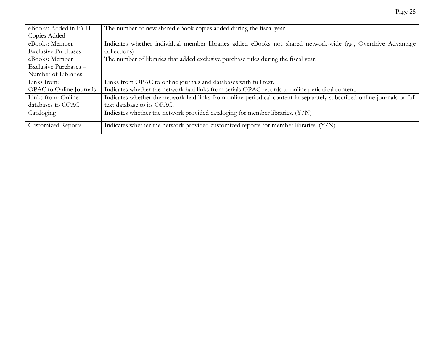| The number of new shared eBook copies added during the fiscal year.                                                     |
|-------------------------------------------------------------------------------------------------------------------------|
|                                                                                                                         |
| Indicates whether individual member libraries added eBooks not shared network-wide (e.g., Overdrive Advantage           |
| collections)                                                                                                            |
| The number of libraries that added exclusive purchase titles during the fiscal year.                                    |
|                                                                                                                         |
|                                                                                                                         |
| Links from OPAC to online journals and databases with full text.                                                        |
| Indicates whether the network had links from serials OPAC records to online periodical content.                         |
| Indicates whether the network had links from online periodical content in separately subscribed online journals or full |
| text database to its OPAC.                                                                                              |
| Indicates whether the network provided cataloging for member libraries. $(Y/N)$                                         |
|                                                                                                                         |
| Indicates whether the network provided customized reports for member libraries. $(Y/N)$                                 |
|                                                                                                                         |

Page 25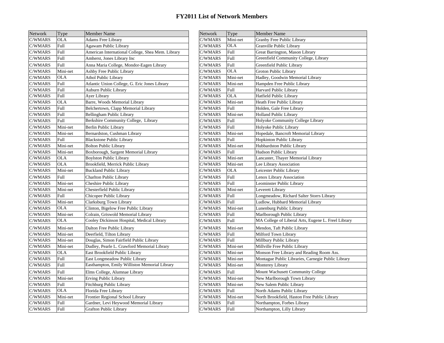| <b>Network</b> | Type        | <b>Member Name</b>                                | <b>Network</b> | Type        | <b>Member Name</b>                                  |
|----------------|-------------|---------------------------------------------------|----------------|-------------|-----------------------------------------------------|
| C/WMARS        | <b>OLA</b>  | <b>Adams Free Library</b>                         | C/WMARS        | Mini-net    | Granby Free Public Library                          |
| C/WMARS        | <b>Full</b> | Agawam Public Library                             | C/WMARS        | <b>OLA</b>  | Granville Public Library                            |
| C/WMARS        | Full        | American International College, Shea Mem. Library | C/WMARS        | Full        | Great Barrington, Mason Library                     |
| C/WMARS        | Full        | Amherst, Jones Library Inc                        | C/WMARS        | Full        | Greenfield Community College, Library               |
| C/WMARS        | <b>Full</b> | Anna Maria College, Mondor-Eagen Library          | C/WMARS        | <b>Full</b> | Greenfield Public Library                           |
| C/WMARS        | Mini-net    | Ashby Free Public Library                         | C/WMARS        | <b>OLA</b>  | Groton Public Library                               |
| C/WMARS        | <b>OLA</b>  | <b>Athol Public Library</b>                       | C/WMARS        | Mini-net    | Hadley, Goodwin Memorial Library                    |
| C/WMARS        | Full        | Atlantic Union College, G. Eric Jones Library     | C/WMARS        | Mini-net    | Hampden Free Public Library                         |
| C/WMARS        | Full        | Auburn Public Library                             | C/WMARS        | Full        | Harvard Public Library                              |
| C/WMARS        | Full        | Ayer Library                                      | C/WMARS        | <b>OLA</b>  | Hatfield Public Library                             |
| C/WMARS        | <b>OLA</b>  | Barre, Woods Memorial Library                     | C/WMARS        | Mini-net    | Heath Free Public Library                           |
| C/WMARS        | Full        | Belchertown, Clapp Memorial Library               | C/WMARS        | <b>Full</b> | Holden, Gale Free Library                           |
| C/WMARS        | Full        | Bellingham Public Library                         | C/WMARS        | Mini-net    | <b>Holland Public Library</b>                       |
| C/WMARS        | <b>Full</b> | Berkshire Community College, Library              | C/WMARS        | Full        | Holyoke Community College Library                   |
| C/WMARS        | Mini-net    | Berlin Public Library                             | C/WMARS        | Full        | Holyoke Public Library                              |
| C/WMARS        | Mini-net    | Bernardston, Cushman Library                      | C/WMARS        | Mini-net    | Hopedale, Bancroft Memorial Library                 |
| C/WMARS        | Full        | <b>Blackstone Public Library</b>                  | C/WMARS        | Full        | Hopkinton Public Library                            |
| C/WMARS        | Mini-net    | <b>Bolton Public Library</b>                      | C/WMARS        | Mini-net    | Hubbardston Public Library                          |
| C/WMARS        | Mini-net    | Boxborough, Sargent Memorial Library              | C/WMARS        | Full        | Hudson Public Library                               |
| C/WMARS        | <b>OLA</b>  | <b>Boylston Public Library</b>                    | C/WMARS        | Mini-net    | Lancaster, Thayer Memorial Library                  |
| C/WMARS        | <b>OLA</b>  | Brookfield, Merrick Public Library                | C/WMARS        | Mini-net    | Lee Library Association                             |
| C/WMARS        | Mini-net    | <b>Buckland Public Library</b>                    | C/WMARS        | <b>OLA</b>  | Leicester Public Library                            |
| C/WMARS        | <b>Full</b> | <b>Charlton Public Library</b>                    | C/WMARS        | Full        | Lenox Library Association                           |
| C/WMARS        | Mini-net    | Cheshire Public Library                           | C/WMARS        | Full        | Leominster Public Library                           |
| C/WMARS        | Mini-net    | Chesterfield Public Library                       | C/WMARS        | Mini-net    | Leverett Library                                    |
| C/WMARS        | Full        | Chicopee Public Library                           | C/WMARS        | Full        | Longmeadow, Richard Salter Storrs Library           |
| C/WMARS        | Mini-net    | Clarksburg Town Library                           | C/WMARS        | Full        | Ludlow, Hubbard Memorial Library                    |
| C/WMARS        | <b>OLA</b>  | Clinton, Bigelow Free Public Library              | C/WMARS        | Mini-net    | Lunenburg Public Library                            |
| C/WMARS        | Mini-net    | Colrain, Griswold Memorial Library                | C/WMARS        | Full        | Marlborough Public Library                          |
| C/WMARS        | <b>OLA</b>  | Cooley Dickinson Hospital, Medical Library        | C/WMARS        | Full        | MA College of Liberal Arts, Eugene L. Freel Library |
| C/WMARS        | Mini-net    | Dalton Free Public Library                        | C/WMARS        | Mini-net    | Mendon, Taft Public Library                         |
| C/WMARS        | Mini-net    | Deerfield, Tilton Library                         | C/WMARS        | Full        | Milford Town Library                                |
| C/WMARS        | Mini-net    | Douglas, Simon Fairfield Public Library           | C/WMARS        | Full        | Millbury Public Library                             |
| C/WMARS        | Mini-net    | Dudley, Pearle L. Crawford Memorial Library       | C/WMARS        | Mini-net    | Millville Free Public Library                       |
| C/WMARS        | <b>OLA</b>  | East Brookfield Public Library                    | C/WMARS        | Mini-net    | Monson Free Library and Reading Room Ass.           |
| C/WMARS        | Full        | East Longmeadow Public Library                    | C/WMARS        | Mini-net    | Montague Public Libraries, Carnegie Public Library  |
| C/WMARS        | Full        | Easthampton, Emily Williston Memorial Library     | C/WMARS        | Mini-net    | Monterey Library                                    |
| C/WMARS        | <b>Full</b> | Elms College, Alumnae Library                     | C/WMARS        | Full        | Mount Wachusett Community College                   |
| C/WMARS        | Mini-net    | Erving Public Library                             | C/WMARS        | Mini-net    | New Marlborough Town Library                        |
| C/WMARS        | Full        | Fitchburg Public Library                          | C/WMARS        | Mini-net    | New Salem Public Library                            |
| C/WMARS        | <b>OLA</b>  | Florida Free Library                              | C/WMARS        | Full        | North Adams Public Library                          |
| C/WMARS        | Mini-net    | Frontier Regional School Library                  | C/WMARS        | Mini-net    | North Brookfield, Haston Free Public Library        |
| C/WMARS        | Full        | Gardner, Levi Heywood Memorial Library            | C/WMARS        | Full        | Northampton, Forbes Library                         |
| C/WMARS        | Full        | <b>Grafton Public Library</b>                     | C/WMARS        | Full        | Northampton, Lilly Library                          |
|                |             |                                                   |                |             |                                                     |

|   | Type        | <b>Member Name</b>                                | Network | Type        | <b>Member Name</b>                                  |
|---|-------------|---------------------------------------------------|---------|-------------|-----------------------------------------------------|
| S | <b>OLA</b>  | Adams Free Library                                | C/WMARS | Mini-net    | Granby Free Public Library                          |
| S | Full        | Agawam Public Library                             | C/WMARS | <b>OLA</b>  | Granville Public Library                            |
| S | Full        | American International College, Shea Mem. Library | C/WMARS | Full        | Great Barrington, Mason Library                     |
| S | Full        | Amherst, Jones Library Inc                        | C/WMARS | Full        | Greenfield Community College, Library               |
| S | <b>Full</b> | Anna Maria College, Mondor-Eagen Library          | C/WMARS | Full        | Greenfield Public Library                           |
| S | Mini-net    | Ashby Free Public Library                         | C/WMARS | <b>OLA</b>  | Groton Public Library                               |
| S | <b>OLA</b>  | <b>Athol Public Library</b>                       | C/WMARS | Mini-net    | Hadley, Goodwin Memorial Library                    |
| S | Full        | Atlantic Union College, G. Eric Jones Library     | C/WMARS | Mini-net    | Hampden Free Public Library                         |
| S | Full        | Auburn Public Library                             | C/WMARS | Full        | Harvard Public Library                              |
| S | Full        | Ayer Library                                      | C/WMARS | <b>OLA</b>  | Hatfield Public Library                             |
| S | <b>OLA</b>  | Barre, Woods Memorial Library                     | C/WMARS | Mini-net    | Heath Free Public Library                           |
| S | Full        | Belchertown, Clapp Memorial Library               | C/WMARS | Full        | Holden, Gale Free Library                           |
| S | Full        | Bellingham Public Library                         | C/WMARS | Mini-net    | <b>Holland Public Library</b>                       |
| S | Full        | Berkshire Community College, Library              | C/WMARS | Full        | Holyoke Community College Library                   |
| S | Mini-net    | Berlin Public Library                             | C/WMARS | Full        | Holyoke Public Library                              |
| S | Mini-net    | Bernardston, Cushman Library                      | C/WMARS | Mini-net    | Hopedale, Bancroft Memorial Library                 |
| S | Full        | <b>Blackstone Public Library</b>                  | C/WMARS | Full        | Hopkinton Public Library                            |
| S | Mini-net    | <b>Bolton Public Library</b>                      | C/WMARS | Mini-net    | Hubbardston Public Library                          |
| S | Mini-net    | Boxborough, Sargent Memorial Library              | C/WMARS | Full        | Hudson Public Library                               |
| S | <b>OLA</b>  | <b>Boylston Public Library</b>                    | C/WMARS | Mini-net    | Lancaster, Thayer Memorial Library                  |
| S | <b>OLA</b>  | Brookfield, Merrick Public Library                | C/WMARS | Mini-net    | Lee Library Association                             |
| S | Mini-net    | <b>Buckland Public Library</b>                    | C/WMARS | <b>OLA</b>  | Leicester Public Library                            |
| S | Full        | <b>Charlton Public Library</b>                    | C/WMARS | Full        | Lenox Library Association                           |
| S | Mini-net    | Cheshire Public Library                           | C/WMARS | Full        | Leominster Public Library                           |
| S | Mini-net    | Chesterfield Public Library                       | C/WMARS | Mini-net    | Leverett Library                                    |
| S | Full        | Chicopee Public Library                           | C/WMARS | Full        | Longmeadow, Richard Salter Storrs Library           |
| S | Mini-net    | Clarksburg Town Library                           | C/WMARS | Full        | Ludlow, Hubbard Memorial Library                    |
| S | <b>OLA</b>  | Clinton, Bigelow Free Public Library              | C/WMARS | Mini-net    | Lunenburg Public Library                            |
| S | Mini-net    | Colrain, Griswold Memorial Library                | C/WMARS | Full        | Marlborough Public Library                          |
| S | <b>OLA</b>  | Cooley Dickinson Hospital, Medical Library        | C/WMARS | Full        | MA College of Liberal Arts, Eugene L. Freel Library |
| S | Mini-net    | Dalton Free Public Library                        | C/WMARS | Mini-net    | Mendon, Taft Public Library                         |
| S | Mini-net    | Deerfield, Tilton Library                         | C/WMARS | Full        | Milford Town Library                                |
| S | Mini-net    | Douglas, Simon Fairfield Public Library           | C/WMARS | Full        | Millbury Public Library                             |
| S | Mini-net    | Dudley, Pearle L. Crawford Memorial Library       | C/WMARS | Mini-net    | Millville Free Public Library                       |
| S | <b>OLA</b>  | East Brookfield Public Library                    | C/WMARS | Mini-net    | Monson Free Library and Reading Room Ass.           |
| S | <b>Full</b> | East Longmeadow Public Library                    | C/WMARS | Mini-net    | Montague Public Libraries, Carnegie Public Library  |
| S | Full        | Easthampton, Emily Williston Memorial Library     | C/WMARS | Mini-net    | Monterey Library                                    |
| S | Full        | Elms College, Alumnae Library                     | C/WMARS | <b>Full</b> | Mount Wachusett Community College                   |
| S | Mini-net    | Erving Public Library                             | C/WMARS | Mini-net    | New Marlborough Town Library                        |
| S | Full        | Fitchburg Public Library                          | C/WMARS | Mini-net    | New Salem Public Library                            |
| S | <b>OLA</b>  | Florida Free Library                              | C/WMARS | Full        | North Adams Public Library                          |
| S | Mini-net    | Frontier Regional School Library                  | C/WMARS | Mini-net    | North Brookfield, Haston Free Public Library        |
| S | <b>Full</b> | Gardner, Levi Heywood Memorial Library            | C/WMARS | Full        | Northampton, Forbes Library                         |
| S | Full        | <b>Grafton Public Library</b>                     | C/WMARS | Full        | Northampton, Lilly Library                          |
|   |             |                                                   |         |             |                                                     |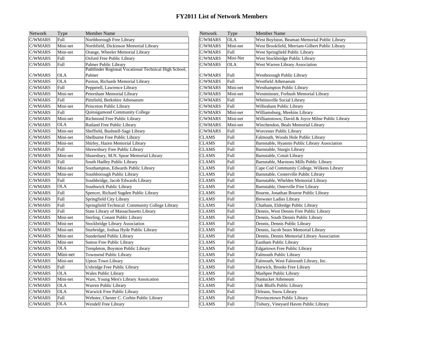| Network        | Type        | <b>Member Name</b>                                    | Network      | Type        | <b>Member Name</b>                               |
|----------------|-------------|-------------------------------------------------------|--------------|-------------|--------------------------------------------------|
| C/WMARS        | Full        | Northborough Free Library                             | C/WMARS      | <b>OLA</b>  | West Boylston, Beaman Memorial Public Library    |
| C/WMARS        | Mini-net    | Northfield, Dickinson Memorial Library                | C/WMARS      | Mini-net    | West Brookfield, Merriam-Gilbert Public Library  |
| C/WMARS        | Mini-net    | Orange, Wheeler Memorial Library                      | C/WMARS      | Full        | West Springfield Public Library                  |
| C/WMARS        | <b>Full</b> | Oxford Free Public Library                            | C/WMARS      | Mini-Net    | West Stockbridge Public Library                  |
| C/WMARS        | <b>Full</b> | Palmer Public Library                                 | C/WMARS      | <b>OLA</b>  | <b>West Warren Library Association</b>           |
|                |             | Pathfinder Regional Vocational Technical High School, |              |             |                                                  |
| C/WMARS        | <b>OLA</b>  | Palmer                                                | C/WMARS      | <b>Full</b> | Westborough Public Library                       |
| C/WMARS        | <b>OLA</b>  | Paxton, Richards Memorial Library                     | C/WMARS      | Full        | Westfield Athenaeum                              |
| C/WMARS        | Full        | Pepperell, Lawrence Library                           | C/WMARS      | Mini-net    | <b>Westhampton Public Library</b>                |
| C/WMARS        | Mini-net    | Petersham Memorial Library                            | C/WMARS      | Mini-net    | Westminster, Forbush Memorial Library            |
| C/WMARS        | <b>Full</b> | Pittsfield, Berkshire Athenaeum                       | C/WMARS      | Full        | Whitinsville Social Library                      |
| C/WMARS        | Mini-net    | Princeton Public Library                              | C/WMARS      | Full        | Wilbraham Public Library                         |
| C/WMARS        | <b>Full</b> | Quinsigamond Community College                        | C/WMARS      | Mini-net    | Williamsburg, Meekins Library                    |
| C/WMARS        | Mini-net    | Richmond Free Public Library                          | C/WMARS      | Mini-net    | Williamstown, David & Joyce Milne Public Library |
| C/WMARS        | <b>OLA</b>  | Rutland Free Public Library                           | C/WMARS      | Mini-net    | Winchendon, Beals Memorial Library               |
| C/WMARS        | Mini-net    | Sheffield, Bushnell-Sage Library                      | C/WMARS      | <b>Full</b> | Worcester Public Library                         |
| C/WMARS        | Mini-net    | Shelburne Free Public Library                         | <b>CLAMS</b> | Full        | Falmouth, Woods Hole Public Library              |
| C/WMARS        | Mini-net    | Shirley, Hazen Memorial Library                       | <b>CLAMS</b> | Full        | Barnstable, Hyannis Public Library Association   |
| C/WMARS        | <b>Full</b> | Shrewsbury Free Public Library                        | <b>CLAMS</b> | Full        | Barnstable, Sturgis Library                      |
| C/WMARS        | Mini-net    | Shutesbury, M.N. Spear Memorial Library               | <b>CLAMS</b> | <b>Full</b> | Barnstable, Cotuit Library                       |
| C/WMARS        | Full        | South Hadley Public Library                           | <b>CLAMS</b> | Full        | Barnstable, Marstons Mills Public Library        |
| C/WMARS        | Mini-net    | Southampton, Edwards Public Library                   | <b>CLAMS</b> | <b>Full</b> | Cape Cod Community College, Wilkens Library      |
| C/WMARS        | Mini-net    | Southborough Public Library                           | <b>CLAMS</b> | Full        | Barnstable, Centerville Public Library           |
| C/WMARS        | Full        | Southbridge, Jacob Edwards Library                    | <b>CLAMS</b> | Full        | Barnstable, Whelden Memorial Library             |
| C/WMARS        | <b>OLA</b>  | Southwick Public Library                              | <b>CLAMS</b> | Full        | Barnstable, Osterville Free Library              |
| C/WMARS        | <b>Full</b> | Spencer, Richard Sugden Public Library                | <b>CLAMS</b> | <b>Full</b> | Bourne, Jonathan Bourne Public Library           |
| C/WMARS        | <b>Full</b> | Springfield City Library                              | <b>CLAMS</b> | <b>Full</b> | <b>Brewster Ladies Library</b>                   |
| C/WMARS        | Full        | Springfield Technical Community College Library       | <b>CLAMS</b> | Full        | Chatham, Eldredge Public Library                 |
| C/WMARS        | Full        | State Library of Massachusetts Library                | <b>CLAMS</b> | Full        | Dennis, West Dennis Free Public Library          |
| C/WMARS        | Mini-net    | Sterling, Conant Public Library                       | <b>CLAMS</b> | <b>Full</b> | Dennis, South Dennis Public Library              |
| C/WMARS        | Mini-net    | <b>Stockbridge Library Association</b>                | <b>CLAMS</b> | Full        | Dennis, Dennis Public Library                    |
| C/WMARS        | Mini-net    | Sturbridge, Joshua Hyde Public Library                | <b>CLAMS</b> | Full        | Dennis, Jacob Sears Memorial Library             |
| C/WMARS        | Mini-net    | Sunderland Public Library                             | <b>CLAMS</b> | Full        | Dennis, Dennis Memorial Library Association      |
| C/WMARS        | Mini-net    | <b>Sutton Free Public Library</b>                     | <b>CLAMS</b> | <b>Full</b> | Eastham Public Library                           |
| C/WMARS        | <b>OLA</b>  | Templeton, Boynton Public Library                     | <b>CLAMS</b> | Full        | <b>Edgartown Free Public Library</b>             |
| C/WMARS        | Mini-net    | <b>Townsend Public Library</b>                        | <b>CLAMS</b> | Full        | <b>Falmouth Public Library</b>                   |
| C/WMARS        | Mini-net    | <b>Upton Town Library</b>                             | <b>CLAMS</b> | <b>Full</b> | Falmouth, West Falmouth Library, Inc.            |
| C/WMARS        | <b>Full</b> | Uxbridge Free Public Library                          | <b>CLAMS</b> | <b>Full</b> | Harwich, Brooks Free Library                     |
| C/WMARS        | <b>OLA</b>  | Wales Public Library                                  | <b>CLAMS</b> | Full        | Mashpee Public Library                           |
| C/WMARS        | Mini-net    | Ware, Young Men's Library Assoication                 | <b>CLAMS</b> | Full        | Nantucket Atheneum                               |
| C/WMARS        | <b>OLA</b>  | Warren Public Library                                 | <b>CLAMS</b> | <b>Full</b> | Oak Bluffs Public Library                        |
| C/WMARS        | <b>OLA</b>  | Warwick Free Public Library                           | <b>CLAMS</b> | Full        | Orleans, Snow Library                            |
| C/WMARS        | Full        | Webster, Chester C. Corbin Public Library             | <b>CLAMS</b> | <b>Full</b> | Provincetown Public Library                      |
| <b>C/WMARS</b> | <b>OLA</b>  | Wendell Free Library                                  | <b>CLAMS</b> | Full        | Tisbury, Vineyard Haven Public Library           |
|                |             |                                                       |              |             |                                                  |

| ber Name                                        | Network      | Type       | <b>Member Name</b>                               |
|-------------------------------------------------|--------------|------------|--------------------------------------------------|
| porough Free Library                            | C/WMARS      | <b>OLA</b> | West Boylston, Beaman Memorial Public Library    |
| field, Dickinson Memorial Library               | C/WMARS      | Mini-net   | West Brookfield, Merriam-Gilbert Public Library  |
| e, Wheeler Memorial Library                     | C/WMARS      | Full       | West Springfield Public Library                  |
| d Free Public Library                           | C/WMARS      | Mini-Net   | West Stockbridge Public Library                  |
| r Public Library                                | C/WMARS      | <b>OLA</b> | West Warren Library Association                  |
| nder Regional Vocational Technical High School, |              |            |                                                  |
|                                                 | C/WMARS      | Full       | Westborough Public Library                       |
| n, Richards Memorial Library                    | C/WMARS      | Full       | Westfield Athenaeum                              |
| rell, Lawrence Library                          | C/WMARS      | Mini-net   | <b>Westhampton Public Library</b>                |
| ham Memorial Library                            | C/WMARS      | Mini-net   | Westminster, Forbush Memorial Library            |
| eld, Berkshire Athenaeum                        | C/WMARS      | Full       | Whitinsville Social Library                      |
| ton Public Library                              | C/WMARS      | Full       | Wilbraham Public Library                         |
| igamond Community College                       | C/WMARS      | Mini-net   | Williamsburg, Meekins Library                    |
| ond Free Public Library                         | C/WMARS      | Mini-net   | Williamstown, David & Joyce Milne Public Library |
| d Free Public Library                           | C/WMARS      | Mini-net   | Winchendon, Beals Memorial Library               |
| eld, Bushnell-Sage Library                      | C/WMARS      | Full       | Worcester Public Library                         |
| urne Free Public Library                        | CLAMS        | Full       | Falmouth, Woods Hole Public Library              |
| y, Hazen Memorial Library                       | CLAMS        | Full       | Barnstable, Hyannis Public Library Association   |
| sbury Free Public Library                       | CLAMS        | Full       | Barnstable, Sturgis Library                      |
| sbury, M.N. Spear Memorial Library              | CLAMS        | Full       | Barnstable, Cotuit Library                       |
| Hadley Public Library                           | CLAMS        | Full       | Barnstable, Marstons Mills Public Library        |
| ampton, Edwards Public Library                  | CLAMS        | Full       | Cape Cod Community College, Wilkens Library      |
| borough Public Library                          | <b>CLAMS</b> | Full       | Barnstable, Centerville Public Library           |
| bridge, Jacob Edwards Library                   | <b>CLAMS</b> | Full       | Barnstable, Whelden Memorial Library             |
| wick Public Library                             | CLAMS        | Full       | Barnstable, Osterville Free Library              |
| er, Richard Sugden Public Library               | <b>CLAMS</b> | Full       | Bourne, Jonathan Bourne Public Library           |
| field City Library;                             | <b>CLAMS</b> | Full       | <b>Brewster Ladies Library</b>                   |
| field Technical Community College Library       | CLAMS        | Full       | Chatham, Eldredge Public Library                 |
| Library of Massachusetts Library                | <b>CLAMS</b> | Full       | Dennis, West Dennis Free Public Library          |
| g, Conant Public Library                        | CLAMS        | Full       | Dennis, South Dennis Public Library              |
| pridge Library Association                      | CLAMS        | Full       | Dennis, Dennis Public Library                    |
| idge, Joshua Hyde Public Library                | CLAMS        | Full       | Dennis, Jacob Sears Memorial Library             |
| rland Public Library                            | CLAMS        | Full       | Dennis, Dennis Memorial Library Association      |
| Free Public Library                             | CLAMS        | Full       | Eastham Public Library                           |
| leton, Boynton Public Library                   | <b>CLAMS</b> | Full       | <b>Edgartown Free Public Library</b>             |
| send Public Library                             | CLAMS        | Full       | <b>Falmouth Public Library</b>                   |
| Town Library                                    | CLAMS        | Full       | Falmouth, West Falmouth Library, Inc.            |
| dge Free Public Library                         | <b>CLAMS</b> | Full       | Harwich, Brooks Free Library                     |
| Public Library                                  | CLAMS        | Full       | Mashpee Public Library                           |
| Young Men's Library Assoication                 | CLAMS        | Full       | Nantucket Atheneum                               |
| n Public Library                                | <b>CLAMS</b> | Full       | Oak Bluffs Public Library                        |
| ick Free Public Library                         | CLAMS        | Full       | Orleans, Snow Library                            |
| er, Chester C. Corbin Public Library            | CLAMS        | Full       | Provincetown Public Library                      |
| ell Free Library                                | CLAMS        | Full       | Tisbury, Vineyard Haven Public Library           |
|                                                 |              |            |                                                  |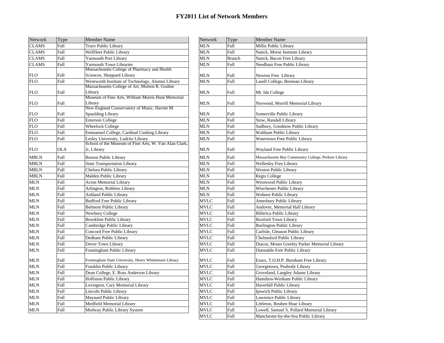| Network      | Type        | <b>Member Name</b>                                           | Network     | Type          | <b>Member Name</b>                                   |
|--------------|-------------|--------------------------------------------------------------|-------------|---------------|------------------------------------------------------|
| <b>CLAMS</b> | Full        | Truro Public Library                                         | MLN         | Full          | Millis Public Library                                |
| <b>CLAMS</b> | Full        | Wellfleet Public Library                                     | MLN         | Full          | Natick, Morse Institute Library                      |
| <b>CLAMS</b> | Full        | <b>Yarmouth Port Library</b>                                 | <b>MLN</b>  | <b>Branch</b> | Natick, Bacon Free Library                           |
| <b>CLAMS</b> | Full        | Yarmouth Town Libraries                                      | <b>MLN</b>  | Full          | Needham Free Public Library                          |
|              |             | Massachusetts College of Pharmacy and Health                 |             |               |                                                      |
| <b>FLO</b>   | Full        | Sciences, Sheppard Library                                   | MLN         | Full          | Newton Free Library                                  |
| <b>FLO</b>   | Full        | Wentworth Institute of Technology, Alumni Library            | <b>MLN</b>  | <b>Full</b>   | Lasell College, Brennan Library                      |
|              |             | Massachusetts College of Art, Morton R. Godine               |             |               |                                                      |
| <b>FLO</b>   | Full        | Library<br>Museum of Fine Arts, William Morris Hunt Memorial | <b>MLN</b>  | Full          | Mt. Ida College                                      |
| <b>FLO</b>   | Full        | Library                                                      | <b>MLN</b>  | Full          | Norwood, Morrill Memorial Library                    |
|              |             | New England Conservatory of Music, Harriet M.                |             |               |                                                      |
| <b>FLO</b>   | <b>Full</b> | Spaulding Library                                            | MLN         | Full          | Somerville Public Library                            |
| <b>FLO</b>   | <b>Full</b> | <b>Emerson College</b>                                       | <b>MLN</b>  | Full          | Stow, Randall Library                                |
| <b>FLO</b>   | Full        | <b>Wheelock College</b>                                      | <b>MLN</b>  | Full          | Sudbury, Goodnow Public Library                      |
| <b>FLO</b>   | Full        | Emmanuel College, Cardinal Cushing Library                   | MLN         | <b>Full</b>   | Waltham Public Library                               |
| <b>FLO</b>   | Full        | Lesley University, Ludcke Library                            | <b>MLN</b>  | <b>Full</b>   | Watertown Free Public Library                        |
|              |             | School of the Museum of Fine Arts, W. Van Alan Clark,        |             |               |                                                      |
| <b>FLO</b>   | OLA         | Jr. Library                                                  | MLN         | Full          | Wayland Free Public Library                          |
| <b>MBLN</b>  | Full        | <b>Boston Public Library</b>                                 | <b>MLN</b>  | Full          | Massachusetts Bay Community College, Perkins Library |
| <b>MBLN</b>  | Full        | <b>State Transportation Library</b>                          | MLN         | Full          | <b>Wellesley Free Library</b>                        |
| <b>MBLN</b>  | Full        | Chelsea Public Library                                       | <b>MLN</b>  | Full          | <b>Weston Public Library</b>                         |
| <b>MBLN</b>  | Full        | Malden Public Library                                        | <b>MLN</b>  | Full          | Regis College                                        |
| <b>MLN</b>   | Full        | <b>Acton Memorial Library</b>                                | MLN         | Full          | <b>Westwood Public Library</b>                       |
| <b>MLN</b>   | Full        | Arlington, Robbins Library                                   | <b>MLN</b>  | <b>Full</b>   | Winchester Public Library                            |
| <b>MLN</b>   | Full        | <b>Ashland Public Library</b>                                | <b>MLN</b>  | Full          | Woburn Public Library                                |
| <b>MLN</b>   | Full        | <b>Bedford Free Public Library</b>                           | <b>MVLC</b> | Full          | Amesbury Public Library                              |
| <b>MLN</b>   | Full        | <b>Belmont Public Library</b>                                | <b>MVLC</b> | Full          | Andover, Memorial Hall Library                       |
| <b>MLN</b>   | Full        | Newbury College                                              | <b>MVLC</b> | Full          | Billerica Public Library                             |
| <b>MLN</b>   | Full        | Brookline Public Library                                     | <b>MVLC</b> | <b>Full</b>   | <b>Boxford Town Library</b>                          |
| <b>MLN</b>   | Full        | Cambridge Public Library                                     | <b>MVLC</b> | Full          | <b>Burlington Public Library</b>                     |
| <b>MLN</b>   | Full        | Concord Free Public Library                                  | <b>MVLC</b> | Full          | Carlisle, Gleason Public Library                     |
| <b>MLN</b>   | Full        | Dedham Public Library                                        | <b>MVLC</b> | Full          | Chelmsford Public Library                            |
| <b>MLN</b>   | Full        | Dover Town Library                                           | <b>MVLC</b> | Full          | Dracut, Moses Greeley Parker Memorial Library        |
| <b>MLN</b>   | Full        | Framingham Public Library                                    | <b>MVLC</b> | <b>Full</b>   | Dunstable Free Public Library                        |
| <b>MLN</b>   | Full        | Framingham State University, Henry Whittemore Library        | MVLC        | Full          | Essex, T.O.H.P. Burnham Free Library                 |
| <b>MLN</b>   | Full        | Franklin Public Library                                      | <b>MVLC</b> | Full          | Georgetown, Peabody Library                          |
| <b>MLN</b>   | Full        | Dean College, E. Ross Anderson Library                       | <b>MVLC</b> | Full          | Groveland, Langley Adams Library                     |
| <b>MLN</b>   | Full        | Holliston Public Library                                     | MVLC        | Full          | Hamilton-Wenham Public Library                       |
| <b>MLN</b>   | Full        | Lexington, Cary Memorial Library                             | <b>MVLC</b> | Full          | Haverhill Public Library                             |
| <b>MLN</b>   | Full        | Lincoln Public Library                                       | <b>MVLC</b> | Full          | Ipswich Public Library                               |
| <b>MLN</b>   | Full        | Maynard Public Library                                       | <b>MVLC</b> | Full          | Lawrence Public Library                              |
| <b>MLN</b>   | Full        | Medfield Memorial Library                                    | <b>MVLC</b> | <b>Full</b>   | Littleton, Reuben Hoar Library                       |
| <b>MLN</b>   | Full        | Medway Public Library System                                 | <b>MVLC</b> | Full          | Lowell, Samuel S. Pollard Memorial Library           |
|              |             |                                                              |             |               |                                                      |

| Member Name                                                  | Network     | Type          | <b>Member Name</b>                                   |
|--------------------------------------------------------------|-------------|---------------|------------------------------------------------------|
| Truro Public Library                                         | MLN         | Full          | Millis Public Library                                |
| Wellfleet Public Library                                     | MLN         | Full          | Natick, Morse Institute Library                      |
| <b>Yarmouth Port Library</b>                                 | MLN         | <b>Branch</b> | Natick, Bacon Free Library                           |
| <b>Yarmouth Town Libraries</b>                               | MLN         | Full          | Needham Free Public Library                          |
| Massachusetts College of Pharmacy and Health                 |             |               |                                                      |
| Sciences, Sheppard Library                                   | MLN         | Full          | Newton Free Library                                  |
| Wentworth Institute of Technology, Alumni Library            | MLN         | Full          | Lasell College, Brennan Library                      |
| Massachusetts College of Art, Morton R. Godine               |             |               |                                                      |
| Library<br>Museum of Fine Arts, William Morris Hunt Memorial | <b>MLN</b>  | Full          | Mt. Ida College                                      |
| Library                                                      | MLN         | Full          | Norwood, Morrill Memorial Library                    |
| New England Conservatory of Music, Harriet M.                |             |               |                                                      |
| Spaulding Library                                            | MLN         | Full          | Somerville Public Library                            |
| <b>Emerson College</b>                                       | <b>MLN</b>  | <b>Full</b>   | Stow, Randall Library                                |
| <b>Wheelock College</b>                                      | MLN         | Full          | Sudbury, Goodnow Public Library                      |
| <b>Emmanuel College, Cardinal Cushing Library</b>            | <b>MLN</b>  | Full          | Waltham Public Library                               |
| Lesley University, Ludcke Library                            | MLN         | Full          | Watertown Free Public Library                        |
| School of the Museum of Fine Arts, W. Van Alan Clark,        |             |               |                                                      |
| Jr. Library                                                  | MLN         | Full          | Wayland Free Public Library                          |
| Boston Public Library                                        | <b>MLN</b>  | Full          | Massachusetts Bay Community College, Perkins Library |
| <b>State Transportation Library</b>                          | <b>MLN</b>  | Full          | <b>Wellesley Free Library</b>                        |
| Chelsea Public Library                                       | MLN         | <b>Full</b>   | Weston Public Library                                |
| Malden Public Library                                        | MLN         | Full          | Regis College                                        |
| <b>Acton Memorial Library</b>                                | MLN         | <b>Full</b>   | Westwood Public Library                              |
| Arlington, Robbins Library                                   | MLN         | Full          | Winchester Public Library                            |
| Ashland Public Library                                       | MLN         | Full          | Woburn Public Library                                |
| <b>Bedford Free Public Library</b>                           | <b>MVLC</b> | Full          | Amesbury Public Library                              |
| <b>Belmont Public Library</b>                                | <b>MVLC</b> | Full          | Andover, Memorial Hall Library                       |
| Newbury College                                              | <b>MVLC</b> | <b>Full</b>   | <b>Billerica Public Library</b>                      |
| <b>Brookline Public Library</b>                              | <b>MVLC</b> | <b>Full</b>   | <b>Boxford Town Library</b>                          |
| Cambridge Public Library                                     | <b>MVLC</b> | Full          | <b>Burlington Public Library</b>                     |
| Concord Free Public Library                                  | <b>MVLC</b> | Full          | Carlisle, Gleason Public Library                     |
| Dedham Public Library                                        | <b>MVLC</b> | Full          | Chelmsford Public Library                            |
| Dover Town Library                                           | <b>MVLC</b> | <b>Full</b>   | Dracut, Moses Greeley Parker Memorial Library        |
| Framingham Public Library                                    | <b>MVLC</b> | <b>Full</b>   | Dunstable Free Public Library                        |
| Framingham State University, Henry Whittemore Library        | MVLC        | Full          | Essex, T.O.H.P. Burnham Free Library                 |
| Franklin Public Library                                      | <b>MVLC</b> | Full          | Georgetown, Peabody Library                          |
| Dean College, E. Ross Anderson Library                       | MVLC        | Full          | Groveland, Langley Adams Library                     |
| Holliston Public Library                                     | MVLC        | Full          | Hamilton-Wenham Public Library                       |
| Lexington, Cary Memorial Library                             | <b>MVLC</b> | <b>Full</b>   | Haverhill Public Library                             |
| Lincoln Public Library                                       | MVLC        | Full          | Ipswich Public Library                               |
| Maynard Public Library                                       | <b>MVLC</b> | Full          | Lawrence Public Library                              |
| Medfield Memorial Library                                    | <b>MVLC</b> | <b>Full</b>   | Littleton, Reuben Hoar Library                       |
| Medway Public Library System                                 | <b>MVLC</b> | Full          | Lowell, Samuel S. Pollard Memorial Library           |
|                                                              | <b>MVLC</b> | Full          | Manchester-by-the-Sea Public Library                 |
|                                                              |             |               |                                                      |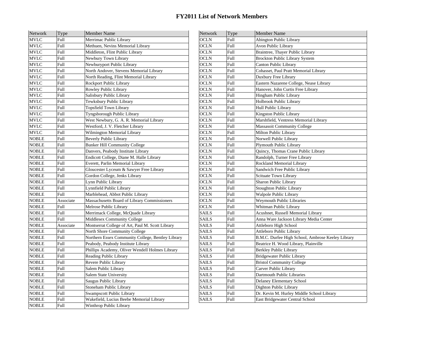| Network      | Type        | <b>Member Name</b>                                | <b>Network</b>                                 | Type        | <b>Member Name</b>                                |  |
|--------------|-------------|---------------------------------------------------|------------------------------------------------|-------------|---------------------------------------------------|--|
| <b>MVLC</b>  | Full        | Merrimac Public Library                           | <b>OCLN</b>                                    | Full        | <b>Abington Public Library</b>                    |  |
| <b>MVLC</b>  | Full        | Methuen, Nevins Memorial Library                  | <b>OCLN</b>                                    | Full        | Avon Public Library                               |  |
| <b>MVLC</b>  | Full        | Middleton, Flint Public Library                   | <b>OCLN</b>                                    | Full        | Braintree, Thayer Public Library                  |  |
| <b>MVLC</b>  | Full        | Newbury Town Library                              | <b>OCLN</b>                                    | Full        | Brockton Public Library System                    |  |
| <b>MVLC</b>  | Full        | Newburyport Public Library                        | <b>OCLN</b>                                    | Full        | Canton Public Library                             |  |
| <b>MVLC</b>  | Full        | North Andover, Stevens Memorial Library           | <b>OCLN</b>                                    | Full        | Cohasset, Paul Pratt Memorial Library             |  |
| <b>MVLC</b>  | Full        | North Reading, Flint Memorial Library             | <b>OCLN</b>                                    | Full        | Duxbury Free Library                              |  |
| <b>MVLC</b>  | Full        | Rockport Public Library                           | OCLN                                           | Full        | Eastern Nazarene College, Nease Library           |  |
| <b>MVLC</b>  | Full        | Rowley Public Library                             | <b>OCLN</b>                                    | Full        | Hanover, John Curtis Free Library                 |  |
| <b>MVLC</b>  | Full        | Salisbury Public Library                          | <b>OCLN</b>                                    | <b>Full</b> | Hingham Public Library                            |  |
| <b>MVLC</b>  | Full        | Tewksbury Public Library                          | <b>OCLN</b>                                    | Full        | Holbrook Public Library                           |  |
| <b>MVLC</b>  | Full        | <b>Topsfield Town Library</b>                     | <b>OCLN</b>                                    | Full        | Hull Public Library                               |  |
| <b>MVLC</b>  | Full        | Tyngsborough Public Library                       | <b>OCLN</b>                                    | Full        | Kingston Public Library                           |  |
| <b>MVLC</b>  | Full        | West Newbury, G. A. R. Memorial Library           | <b>OCLN</b>                                    | Full        | Marshfield, Ventress Memorial Library             |  |
| <b>MVLC</b>  | Full        | Westford, J. V. Fletcher Library                  | <b>OCLN</b>                                    | Full        | <b>Massasoit Community College</b>                |  |
| <b>MVLC</b>  | Full        | Wilmington Memorial Library                       | <b>OCLN</b>                                    | Full        | Milton Public Library                             |  |
| <b>NOBLE</b> | <b>Full</b> | Beverly Public Library                            | <b>OCLN</b>                                    | Full        | Norwell Public Library                            |  |
| <b>NOBLE</b> | Full        | <b>Bunker Hill Community College</b>              | OCLN                                           | Full        | Plymouth Public Library                           |  |
| <b>NOBLE</b> | Full        | Danvers, Peabody Institute Library                | <b>OCLN</b>                                    | Full        | Quincy, Thomas Crane Public Library               |  |
| <b>NOBLE</b> | Full        | Endicott College, Diane M. Halle Library          | <b>OCLN</b>                                    | Full        | Randolph, Turner Free Library                     |  |
| <b>NOBLE</b> | Full        | Everett, Parlin Memorial Library                  | <b>OCLN</b>                                    | <b>Full</b> | Rockland Memorial Library                         |  |
| <b>NOBLE</b> | Full        | Gloucester Lyceum & Sawyer Free Library           | <b>OCLN</b>                                    | Full        | Sandwich Free Public Library                      |  |
| <b>NOBLE</b> | Full        | Gordon College, Jenks Library                     | <b>OCLN</b>                                    | Full        | Scituate Town Library                             |  |
| <b>NOBLE</b> | Full        | Lynn Public Library                               | <b>OCLN</b>                                    | Full        | Sharon Public Library                             |  |
| <b>NOBLE</b> | Full        | Lynnfield Public Library                          | <b>OCLN</b>                                    | Full        | <b>Stoughton Public Library</b>                   |  |
| <b>NOBLE</b> | Full        | Marblehead, Abbot Public Library                  | <b>OCLN</b>                                    | <b>Full</b> | Walpole Public Library                            |  |
| <b>NOBLE</b> | Associate   | Massachusetts Board of Library Commissioners      | <b>OCLN</b>                                    | Full        | <b>Weymouth Public Libraries</b>                  |  |
| <b>NOBLE</b> | Full        | Melrose Public Library                            | <b>OCLN</b>                                    | Full        | Whitman Public Library                            |  |
| <b>NOBLE</b> | Full        | Merrimack College, McQuade Library                | <b>SAILS</b>                                   | Full        | Acushnet, Russell Memorial Library                |  |
| <b>NOBLE</b> | Full        | Middlesex Community College                       | <b>SAILS</b>                                   | Full        | Anna Ware Jackson Library Media Center            |  |
| <b>NOBLE</b> | Associate   | Montserrat College of Art, Paul M. Scott Library  | <b>SAILS</b>                                   | Full        | Attleboro High School                             |  |
| <b>NOBLE</b> | <b>Full</b> | North Shore Community College                     | <b>SAILS</b>                                   | Full        | Attleboro Public Library                          |  |
| <b>NOBLE</b> | Full        | Northern Essex Community College, Bentley Library | <b>SAILS</b>                                   | Full        | B.M.C. Durfee High School, Ambrose Keeley Library |  |
| <b>NOBLE</b> | <b>Full</b> | Peabody, Peabody Institute Library                | <b>SAILS</b>                                   | Full        | Beatrice H. Wood Library, Plainville              |  |
| <b>NOBLE</b> | <b>Full</b> | Phillips Academy, Oliver Wendell Holmes Library   | <b>SAILS</b>                                   | Full        | Berkley Public Library                            |  |
| <b>NOBLE</b> | Full        | Reading Public Library                            | <b>SAILS</b>                                   | Full        | Bridgewater Public Library                        |  |
| <b>NOBLE</b> | Full        | Revere Public Library                             | <b>SAILS</b>                                   | Full        | <b>Bristol Community College</b>                  |  |
| <b>NOBLE</b> | Full        | Salem Public Library                              | <b>SAILS</b>                                   | Full        | Carver Public Library                             |  |
| <b>NOBLE</b> | Full        | Salem State University                            | <b>SAILS</b>                                   | Full        | Dartmouth Public Libraries                        |  |
| <b>NOBLE</b> | Full        | Saugus Public Library                             | <b>SAILS</b>                                   | Full        | Delaney Elementary School                         |  |
| <b>NOBLE</b> | Full        | Stoneham Public Library                           | <b>SAILS</b><br>Full<br>Dighton Public Library |             |                                                   |  |
| <b>NOBLE</b> | Full        | Swampscott Public Library                         | <b>SAILS</b>                                   | Full        | Dr. Kevin M. Hurley Middle School Library         |  |
| <b>NOBLE</b> | <b>Full</b> | Wakefield, Lucius Beebe Memorial Library          | SAILS                                          | Full        | East Bridgewater Central School                   |  |
| <b>NOBLE</b> | Full        | Winthrop Public Library                           |                                                |             |                                                   |  |

| Network      | Type        | <b>Member Name</b>                                |  |
|--------------|-------------|---------------------------------------------------|--|
| OCLN         | Full        | <b>Abington Public Library</b>                    |  |
| OCLN         | Full        | Avon Public Library                               |  |
| OCLN         | Full        | Braintree, Thayer Public Library                  |  |
| OCLN         | Full        | Brockton Public Library System                    |  |
| OCLN         | Full        | Canton Public Library                             |  |
| OCLN         | <b>Full</b> | Cohasset, Paul Pratt Memorial Library             |  |
| OCLN         | Full        | Duxbury Free Library                              |  |
| OCLN         | Full        | Eastern Nazarene College, Nease Library           |  |
| <b>OCLN</b>  | Full        | Hanover, John Curtis Free Library                 |  |
| <b>OCLN</b>  | <b>Full</b> | Hingham Public Library                            |  |
| OCLN         | Full        | Holbrook Public Library                           |  |
| OCLN         | Full        | Hull Public Library                               |  |
| <b>OCLN</b>  | Full        | Kingston Public Library                           |  |
| OCLN         | Full        | Marshfield, Ventress Memorial Library             |  |
| OCLN         | Full        | <b>Massasoit Community College</b>                |  |
| OCLN         | Full        | Milton Public Library                             |  |
| OCLN         | Full        | Norwell Public Library                            |  |
| OCLN         | Full        | Plymouth Public Library                           |  |
| OCLN         | Full        | Quincy, Thomas Crane Public Library               |  |
| OCLN         | Full        | Randolph, Turner Free Library                     |  |
| OCLN         | Full        | Rockland Memorial Library                         |  |
| OCLN         | Full        | Sandwich Free Public Library                      |  |
| OCLN         | Full        | Scituate Town Library                             |  |
| OCLN         | Full        | Sharon Public Library                             |  |
| OCLN         | Full        | <b>Stoughton Public Library</b>                   |  |
| <b>OCLN</b>  | Full        | Walpole Public Library                            |  |
| OCLN         | Full        | <b>Weymouth Public Libraries</b>                  |  |
| OCLN         | Full        | Whitman Public Library                            |  |
| <b>SAILS</b> | Full        | Acushnet, Russell Memorial Library                |  |
| <b>SAILS</b> | Full        | Anna Ware Jackson Library Media Center            |  |
| <b>SAILS</b> | Full        | Attleboro High School                             |  |
| <b>SAILS</b> | Full        | Attleboro Public Library                          |  |
| SAILS        | Full        | B.M.C. Durfee High School, Ambrose Keeley Library |  |
| <b>SAILS</b> | Full        | Beatrice H. Wood Library, Plainville              |  |
| <b>SAILS</b> | Full        | Berkley Public Library                            |  |
| <b>SAILS</b> | Full        | Bridgewater Public Library                        |  |
| <b>SAILS</b> | Full        | <b>Bristol Community College</b>                  |  |
| <b>SAILS</b> | <b>Full</b> | Carver Public Library                             |  |
| SAILS        | Full        | Dartmouth Public Libraries                        |  |
| <b>SAILS</b> | Full        | Delaney Elementary School                         |  |
| SAILS        | Full        | Dighton Public Library                            |  |
| <b>SAILS</b> | Full        | Dr. Kevin M. Hurley Middle School Library         |  |
| SAILS        | Full        | East Bridgewater Central School                   |  |